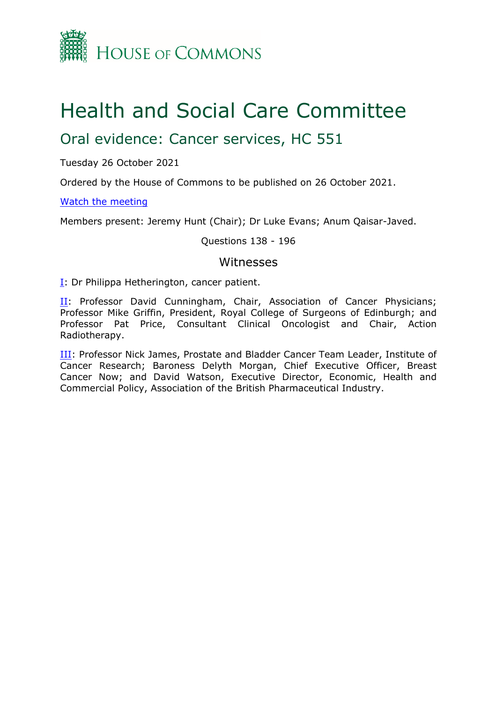

# Health and Social Care Committee

# Oral evidence: Cancer services, HC 551

Tuesday 26 October 2021

Ordered by the House of Commons to be published on 26 October 2021.

#### [Watch](https://www.parliamentlive.tv/Event/Index/9ae1433e-b124-49d5-bc21-f18f80a18f30) [the](https://www.parliamentlive.tv/Event/Index/9ae1433e-b124-49d5-bc21-f18f80a18f30) [meeting](https://www.parliamentlive.tv/Event/Index/9ae1433e-b124-49d5-bc21-f18f80a18f30)

Members present: Jeremy Hunt (Chair); Dr Luke Evans; Anum Qaisar-Javed.

#### Questions 138 - 196

#### Witnesses

[I:](#page-1-0) Dr Philippa Hetherington, cancer patient.

[II](#page-20-0): Professor David Cunningham, Chair, Association of Cancer Physicians; Professor Mike Griffin, President, Royal College of Surgeons of Edinburgh; and Professor Pat Price, Consultant Clinical Oncologist and Chair, Action Radiotherapy.

**III**: Professor Nick James, Prostate and Bladder Cancer Team Leader, Institute of Cancer Research; Baroness Delyth Morgan, Chief Executive Officer, Breast Cancer Now; and David Watson, Executive Director, Economic, Health and Commercial Policy, Association of the British Pharmaceutical Industry.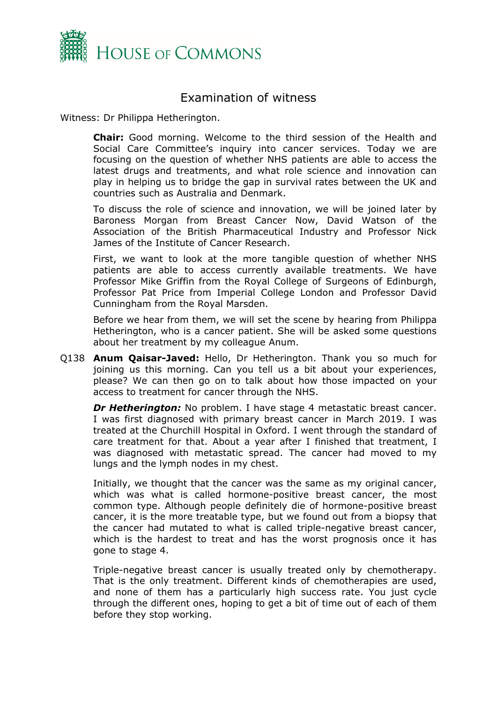

# <span id="page-1-0"></span>Examination of witness

Witness: Dr Philippa Hetherington.

**Chair:** Good morning. Welcome to the third session of the Health and Social Care Committee's inquiry into cancer services. Today we are focusing on the question of whether NHS patients are able to access the latest drugs and treatments, and what role science and innovation can play in helping us to bridge the gap in survival rates between the UK and countries such as Australia and Denmark.

To discuss the role of science and innovation, we will be joined later by Baroness Morgan from Breast Cancer Now, David Watson of the Association of the British Pharmaceutical Industry and Professor Nick James of the Institute of Cancer Research.

First, we want to look at the more tangible question of whether NHS patients are able to access currently available treatments. We have Professor Mike Griffin from the Royal College of Surgeons of Edinburgh, Professor Pat Price from Imperial College London and Professor David Cunningham from the Royal Marsden.

Before we hear from them, we will set the scene by hearing from Philippa Hetherington, who is a cancer patient. She will be asked some questions about her treatment by my colleague Anum.

Q138 **Anum Qaisar-Javed:** Hello, Dr Hetherington. Thank you so much for joining us this morning. Can you tell us a bit about your experiences, please? We can then go on to talk about how those impacted on your access to treatment for cancer through the NHS.

*Dr Hetherington:* No problem. I have stage 4 metastatic breast cancer. I was first diagnosed with primary breast cancer in March 2019. I was treated at the Churchill Hospital in Oxford. I went through the standard of care treatment for that. About a year after I finished that treatment, I was diagnosed with metastatic spread. The cancer had moved to my lungs and the lymph nodes in my chest.

Initially, we thought that the cancer was the same as my original cancer, which was what is called hormone-positive breast cancer, the most common type. Although people definitely die of hormone-positive breast cancer, it is the more treatable type, but we found out from a biopsy that the cancer had mutated to what is called triple-negative breast cancer, which is the hardest to treat and has the worst prognosis once it has gone to stage 4.

Triple-negative breast cancer is usually treated only by chemotherapy. That is the only treatment. Different kinds of chemotherapies are used, and none of them has a particularly high success rate. You just cycle through the different ones, hoping to get a bit of time out of each of them before they stop working.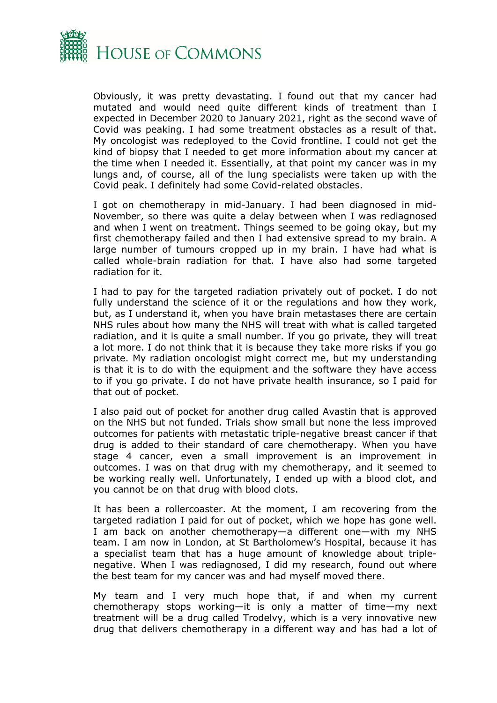

Obviously, it was pretty devastating. I found out that my cancer had mutated and would need quite different kinds of treatment than I expected in December 2020 to January 2021, right as the second wave of Covid was peaking. I had some treatment obstacles as a result of that. My oncologist was redeployed to the Covid frontline. I could not get the kind of biopsy that I needed to get more information about my cancer at the time when I needed it. Essentially, at that point my cancer was in my lungs and, of course, all of the lung specialists were taken up with the Covid peak. I definitely had some Covid-related obstacles.

I got on chemotherapy in mid-January. I had been diagnosed in mid-November, so there was quite a delay between when I was rediagnosed and when I went on treatment. Things seemed to be going okay, but my first chemotherapy failed and then I had extensive spread to my brain. A large number of tumours cropped up in my brain. I have had what is called whole-brain radiation for that. I have also had some targeted radiation for it.

I had to pay for the targeted radiation privately out of pocket. I do not fully understand the science of it or the regulations and how they work, but, as I understand it, when you have brain metastases there are certain NHS rules about how many the NHS will treat with what is called targeted radiation, and it is quite a small number. If you go private, they will treat a lot more. I do not think that it is because they take more risks if you go private. My radiation oncologist might correct me, but my understanding is that it is to do with the equipment and the software they have access to if you go private. I do not have private health insurance, so I paid for that out of pocket.

I also paid out of pocket for another drug called Avastin that is approved on the NHS but not funded. Trials show small but none the less improved outcomes for patients with metastatic triple-negative breast cancer if that drug is added to their standard of care chemotherapy. When you have stage 4 cancer, even a small improvement is an improvement in outcomes. I was on that drug with my chemotherapy, and it seemed to be working really well. Unfortunately, I ended up with a blood clot, and you cannot be on that drug with blood clots.

It has been a rollercoaster. At the moment, I am recovering from the targeted radiation I paid for out of pocket, which we hope has gone well. I am back on another chemotherapy—a different one—with my NHS team. I am now in London, at St Bartholomew's Hospital, because it has a specialist team that has a huge amount of knowledge about triplenegative. When I was rediagnosed, I did my research, found out where the best team for my cancer was and had myself moved there.

My team and I very much hope that, if and when my current chemotherapy stops working—it is only a matter of time—my next treatment will be a drug called Trodelvy, which is a very innovative new drug that delivers chemotherapy in a different way and has had a lot of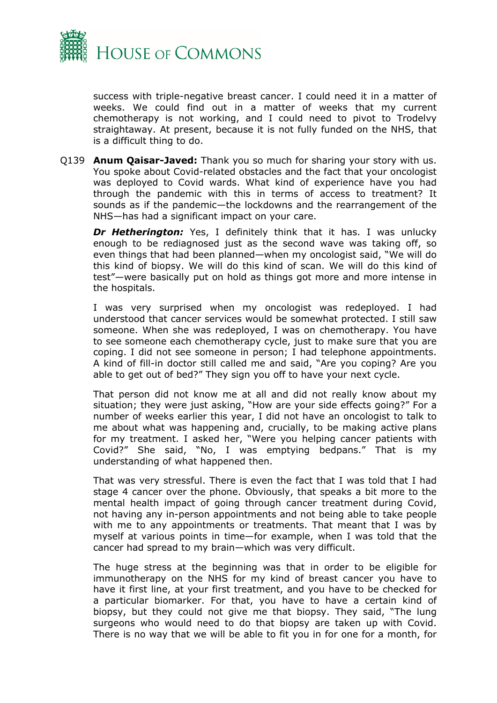

success with triple-negative breast cancer. I could need it in a matter of weeks. We could find out in a matter of weeks that my current chemotherapy is not working, and I could need to pivot to Trodelvy straightaway. At present, because it is not fully funded on the NHS, that is a difficult thing to do.

Q139 **Anum Qaisar-Javed:** Thank you so much for sharing your story with us. You spoke about Covid-related obstacles and the fact that your oncologist was deployed to Covid wards. What kind of experience have you had through the pandemic with this in terms of access to treatment? It sounds as if the pandemic—the lockdowns and the rearrangement of the NHS—has had a significant impact on your care.

**Dr Hetherington:** Yes, I definitely think that it has. I was unlucky enough to be rediagnosed just as the second wave was taking off, so even things that had been planned—when my oncologist said, "We will do this kind of biopsy. We will do this kind of scan. We will do this kind of test"—were basically put on hold as things got more and more intense in the hospitals.

I was very surprised when my oncologist was redeployed. I had understood that cancer services would be somewhat protected. I still saw someone. When she was redeployed, I was on chemotherapy. You have to see someone each chemotherapy cycle, just to make sure that you are coping. I did not see someone in person; I had telephone appointments. A kind of fill-in doctor still called me and said, "Are you coping? Are you able to get out of bed?" They sign you off to have your next cycle.

That person did not know me at all and did not really know about my situation; they were just asking, "How are your side effects going?" For a number of weeks earlier this year, I did not have an oncologist to talk to me about what was happening and, crucially, to be making active plans for my treatment. I asked her, "Were you helping cancer patients with Covid?" She said, "No, I was emptying bedpans." That is my understanding of what happened then.

That was very stressful. There is even the fact that I was told that I had stage 4 cancer over the phone. Obviously, that speaks a bit more to the mental health impact of going through cancer treatment during Covid, not having any in-person appointments and not being able to take people with me to any appointments or treatments. That meant that I was by myself at various points in time—for example, when I was told that the cancer had spread to my brain—which was very difficult.

The huge stress at the beginning was that in order to be eligible for immunotherapy on the NHS for my kind of breast cancer you have to have it first line, at your first treatment, and you have to be checked for a particular biomarker. For that, you have to have a certain kind of biopsy, but they could not give me that biopsy. They said, "The lung surgeons who would need to do that biopsy are taken up with Covid. There is no way that we will be able to fit you in for one for a month, for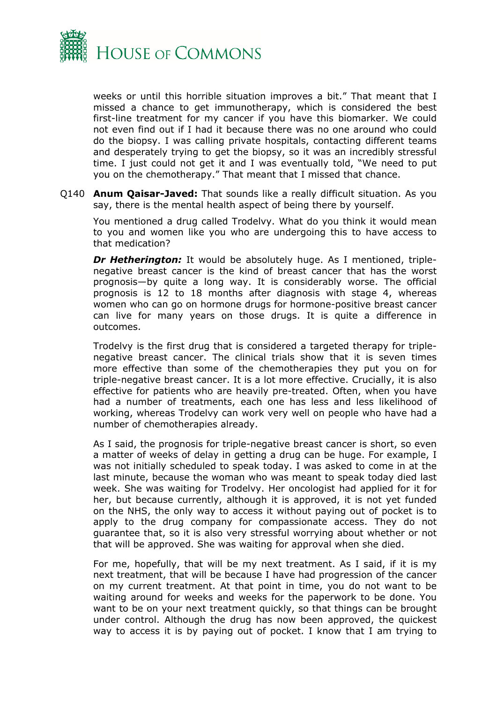

weeks or until this horrible situation improves a bit." That meant that I missed a chance to get immunotherapy, which is considered the best first-line treatment for my cancer if you have this biomarker. We could not even find out if I had it because there was no one around who could do the biopsy. I was calling private hospitals, contacting different teams and desperately trying to get the biopsy, so it was an incredibly stressful time. I just could not get it and I was eventually told, "We need to put you on the chemotherapy." That meant that I missed that chance.

Q140 **Anum Qaisar-Javed:** That sounds like a really difficult situation. As you say, there is the mental health aspect of being there by yourself.

You mentioned a drug called Trodelvy. What do you think it would mean to you and women like you who are undergoing this to have access to that medication?

*Dr Hetherington:* It would be absolutely huge. As I mentioned, triplenegative breast cancer is the kind of breast cancer that has the worst prognosis—by quite a long way. It is considerably worse. The official prognosis is 12 to 18 months after diagnosis with stage 4, whereas women who can go on hormone drugs for hormone-positive breast cancer can live for many years on those drugs. It is quite a difference in outcomes.

Trodelvy is the first drug that is considered a targeted therapy for triplenegative breast cancer. The clinical trials show that it is seven times more effective than some of the chemotherapies they put you on for triple-negative breast cancer. It is a lot more effective. Crucially, it is also effective for patients who are heavily pre-treated. Often, when you have had a number of treatments, each one has less and less likelihood of working, whereas Trodelvy can work very well on people who have had a number of chemotherapies already.

As I said, the prognosis for triple-negative breast cancer is short, so even a matter of weeks of delay in getting a drug can be huge. For example, I was not initially scheduled to speak today. I was asked to come in at the last minute, because the woman who was meant to speak today died last week. She was waiting for Trodelvy. Her oncologist had applied for it for her, but because currently, although it is approved, it is not yet funded on the NHS, the only way to access it without paying out of pocket is to apply to the drug company for compassionate access. They do not guarantee that, so it is also very stressful worrying about whether or not that will be approved. She was waiting for approval when she died.

For me, hopefully, that will be my next treatment. As I said, if it is my next treatment, that will be because I have had progression of the cancer on my current treatment. At that point in time, you do not want to be waiting around for weeks and weeks for the paperwork to be done. You want to be on your next treatment quickly, so that things can be brought under control. Although the drug has now been approved, the quickest way to access it is by paying out of pocket. I know that I am trying to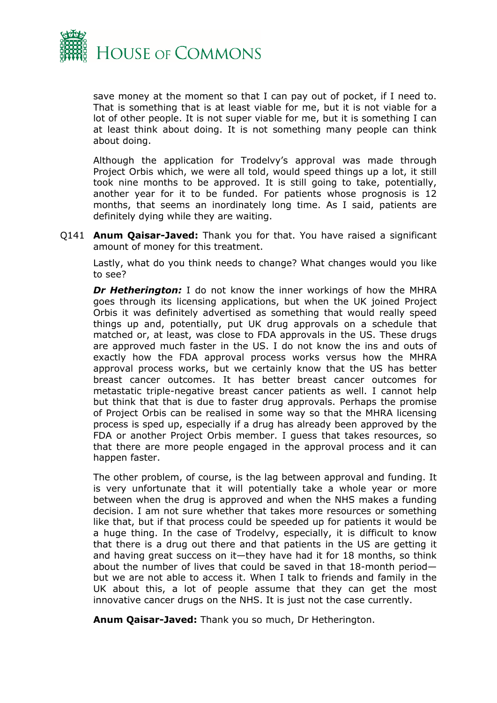

save money at the moment so that I can pay out of pocket, if I need to. That is something that is at least viable for me, but it is not viable for a lot of other people. It is not super viable for me, but it is something I can at least think about doing. It is not something many people can think about doing.

Although the application for Trodelvy's approval was made through Project Orbis which, we were all told, would speed things up a lot, it still took nine months to be approved. It is still going to take, potentially, another year for it to be funded. For patients whose prognosis is 12 months, that seems an inordinately long time. As I said, patients are definitely dying while they are waiting.

Q141 **Anum Qaisar-Javed:** Thank you for that. You have raised a significant amount of money for this treatment.

Lastly, what do you think needs to change? What changes would you like to see?

*Dr Hetherington:* I do not know the inner workings of how the MHRA goes through its licensing applications, but when the UK joined Project Orbis it was definitely advertised as something that would really speed things up and, potentially, put UK drug approvals on a schedule that matched or, at least, was close to FDA approvals in the US. These drugs are approved much faster in the US. I do not know the ins and outs of exactly how the FDA approval process works versus how the MHRA approval process works, but we certainly know that the US has better breast cancer outcomes. It has better breast cancer outcomes for metastatic triple-negative breast cancer patients as well. I cannot help but think that that is due to faster drug approvals. Perhaps the promise of Project Orbis can be realised in some way so that the MHRA licensing process is sped up, especially if a drug has already been approved by the FDA or another Project Orbis member. I guess that takes resources, so that there are more people engaged in the approval process and it can happen faster.

The other problem, of course, is the lag between approval and funding. It is very unfortunate that it will potentially take a whole year or more between when the drug is approved and when the NHS makes a funding decision. I am not sure whether that takes more resources or something like that, but if that process could be speeded up for patients it would be a huge thing. In the case of Trodelvy, especially, it is difficult to know that there is a drug out there and that patients in the US are getting it and having great success on it—they have had it for 18 months, so think about the number of lives that could be saved in that 18-month period but we are not able to access it. When I talk to friends and family in the UK about this, a lot of people assume that they can get the most innovative cancer drugs on the NHS. It is just not the case currently.

**Anum Qaisar-Javed:** Thank you so much, Dr Hetherington.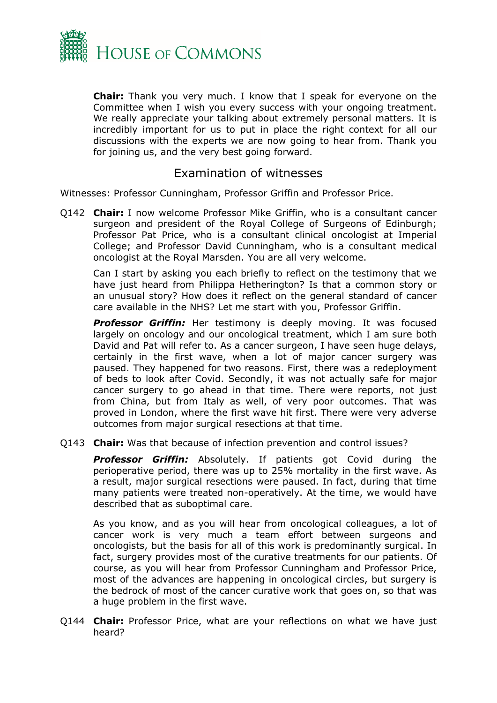

**Chair:** Thank you very much. I know that I speak for everyone on the Committee when I wish you every success with your ongoing treatment. We really appreciate your talking about extremely personal matters. It is incredibly important for us to put in place the right context for all our discussions with the experts we are now going to hear from. Thank you for joining us, and the very best going forward.

### <span id="page-6-0"></span>Examination of witnesses

Witnesses: Professor Cunningham, Professor Griffin and Professor Price.

Q142 **Chair:** I now welcome Professor Mike Griffin, who is a consultant cancer surgeon and president of the Royal College of Surgeons of Edinburgh; Professor Pat Price, who is a consultant clinical oncologist at Imperial College; and Professor David Cunningham, who is a consultant medical oncologist at the Royal Marsden. You are all very welcome.

Can I start by asking you each briefly to reflect on the testimony that we have just heard from Philippa Hetherington? Is that a common story or an unusual story? How does it reflect on the general standard of cancer care available in the NHS? Let me start with you, Professor Griffin.

**Professor Griffin:** Her testimony is deeply moving. It was focused largely on oncology and our oncological treatment, which I am sure both David and Pat will refer to. As a cancer surgeon, I have seen huge delays, certainly in the first wave, when a lot of major cancer surgery was paused. They happened for two reasons. First, there was a redeployment of beds to look after Covid. Secondly, it was not actually safe for major cancer surgery to go ahead in that time. There were reports, not just from China, but from Italy as well, of very poor outcomes. That was proved in London, where the first wave hit first. There were very adverse outcomes from major surgical resections at that time.

Q143 **Chair:** Was that because of infection prevention and control issues?

*Professor Griffin:* Absolutely. If patients got Covid during the perioperative period, there was up to 25% mortality in the first wave. As a result, major surgical resections were paused. In fact, during that time many patients were treated non-operatively. At the time, we would have described that as suboptimal care.

As you know, and as you will hear from oncological colleagues, a lot of cancer work is very much a team effort between surgeons and oncologists, but the basis for all of this work is predominantly surgical. In fact, surgery provides most of the curative treatments for our patients. Of course, as you will hear from Professor Cunningham and Professor Price, most of the advances are happening in oncological circles, but surgery is the bedrock of most of the cancer curative work that goes on, so that was a huge problem in the first wave.

Q144 **Chair:** Professor Price, what are your reflections on what we have just heard?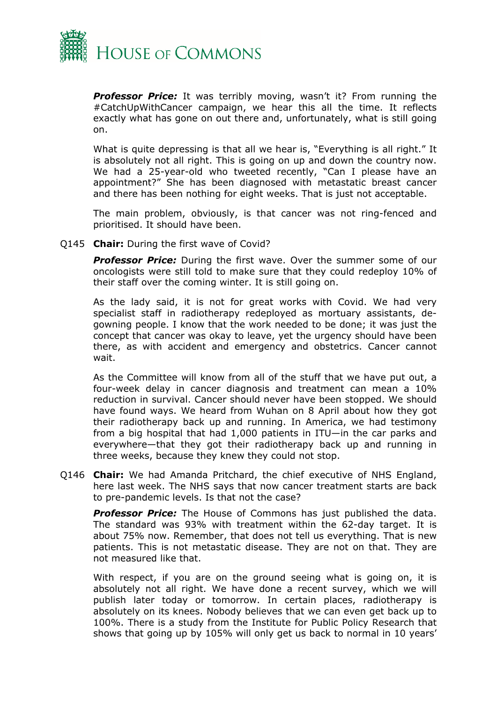

**Professor Price:** It was terribly moving, wasn't it? From running the #CatchUpWithCancer campaign, we hear this all the time. It reflects exactly what has gone on out there and, unfortunately, what is still going on.

What is quite depressing is that all we hear is, "Everything is all right." It is absolutely not all right. This is going on up and down the country now. We had a 25-year-old who tweeted recently, "Can I please have an appointment?" She has been diagnosed with metastatic breast cancer and there has been nothing for eight weeks. That is just not acceptable.

The main problem, obviously, is that cancer was not ring-fenced and prioritised. It should have been.

Q145 **Chair:** During the first wave of Covid?

*Professor Price:* During the first wave. Over the summer some of our oncologists were still told to make sure that they could redeploy 10% of their staff over the coming winter. It is still going on.

As the lady said, it is not for great works with Covid. We had very specialist staff in radiotherapy redeployed as mortuary assistants, degowning people. I know that the work needed to be done; it was just the concept that cancer was okay to leave, yet the urgency should have been there, as with accident and emergency and obstetrics. Cancer cannot wait.

As the Committee will know from all of the stuff that we have put out, a four-week delay in cancer diagnosis and treatment can mean a 10% reduction in survival. Cancer should never have been stopped. We should have found ways. We heard from Wuhan on 8 April about how they got their radiotherapy back up and running. In America, we had testimony from a big hospital that had 1,000 patients in ITU—in the car parks and everywhere—that they got their radiotherapy back up and running in three weeks, because they knew they could not stop.

Q146 **Chair:** We had Amanda Pritchard, the chief executive of NHS England, here last week. The NHS says that now cancer treatment starts are back to pre-pandemic levels. Is that not the case?

**Professor Price:** The House of Commons has just published the data. The standard was 93% with treatment within the 62-day target. It is about 75% now. Remember, that does not tell us everything. That is new patients. This is not metastatic disease. They are not on that. They are not measured like that.

With respect, if you are on the ground seeing what is going on, it is absolutely not all right. We have done a recent survey, which we will publish later today or tomorrow. In certain places, radiotherapy is absolutely on its knees. Nobody believes that we can even get back up to 100%. There is a study from the Institute for Public Policy Research that shows that going up by 105% will only get us back to normal in 10 years'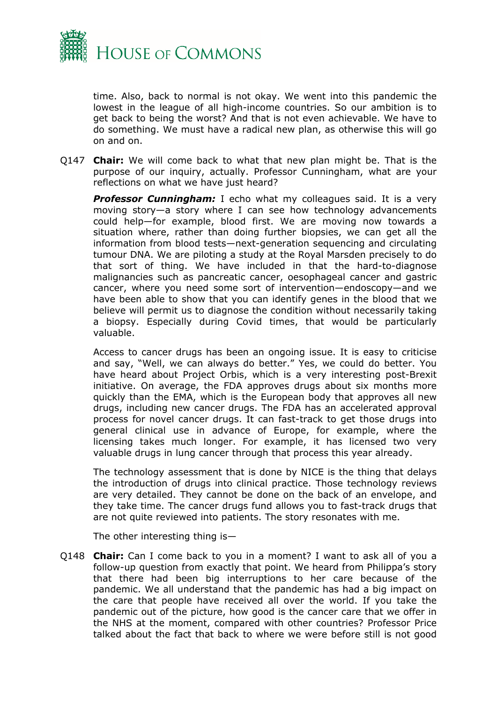

time. Also, back to normal is not okay. We went into this pandemic the lowest in the league of all high-income countries. So our ambition is to get back to being the worst? And that is not even achievable. We have to do something. We must have a radical new plan, as otherwise this will go on and on.

Q147 **Chair:** We will come back to what that new plan might be. That is the purpose of our inquiry, actually. Professor Cunningham, what are your reflections on what we have just heard?

*Professor Cunningham:* I echo what my colleagues said. It is a very moving story—a story where I can see how technology advancements could help—for example, blood first. We are moving now towards a situation where, rather than doing further biopsies, we can get all the information from blood tests—next-generation sequencing and circulating tumour DNA. We are piloting a study at the Royal Marsden precisely to do that sort of thing. We have included in that the hard-to-diagnose malignancies such as pancreatic cancer, oesophageal cancer and gastric cancer, where you need some sort of intervention—endoscopy—and we have been able to show that you can identify genes in the blood that we believe will permit us to diagnose the condition without necessarily taking a biopsy. Especially during Covid times, that would be particularly valuable.

Access to cancer drugs has been an ongoing issue. It is easy to criticise and say, "Well, we can always do better." Yes, we could do better. You have heard about Project Orbis, which is a very interesting post-Brexit initiative. On average, the FDA approves drugs about six months more quickly than the EMA, which is the European body that approves all new drugs, including new cancer drugs. The FDA has an accelerated approval process for novel cancer drugs. It can fast-track to get those drugs into general clinical use in advance of Europe, for example, where the licensing takes much longer. For example, it has licensed two very valuable drugs in lung cancer through that process this year already.

The technology assessment that is done by NICE is the thing that delays the introduction of drugs into clinical practice. Those technology reviews are very detailed. They cannot be done on the back of an envelope, and they take time. The cancer drugs fund allows you to fast-track drugs that are not quite reviewed into patients. The story resonates with me.

The other interesting thing is—

Q148 **Chair:** Can I come back to you in a moment? I want to ask all of you a follow-up question from exactly that point. We heard from Philippa's story that there had been big interruptions to her care because of the pandemic. We all understand that the pandemic has had a big impact on the care that people have received all over the world. If you take the pandemic out of the picture, how good is the cancer care that we offer in the NHS at the moment, compared with other countries? Professor Price talked about the fact that back to where we were before still is not good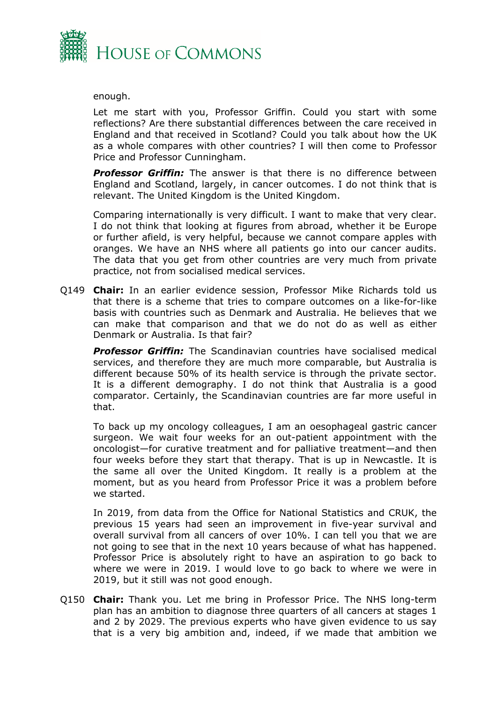

enough.

Let me start with you, Professor Griffin. Could you start with some reflections? Are there substantial differences between the care received in England and that received in Scotland? Could you talk about how the UK as a whole compares with other countries? I will then come to Professor Price and Professor Cunningham.

*Professor Griffin:* The answer is that there is no difference between England and Scotland, largely, in cancer outcomes. I do not think that is relevant. The United Kingdom is the United Kingdom.

Comparing internationally is very difficult. I want to make that very clear. I do not think that looking at figures from abroad, whether it be Europe or further afield, is very helpful, because we cannot compare apples with oranges. We have an NHS where all patients go into our cancer audits. The data that you get from other countries are very much from private practice, not from socialised medical services.

Q149 **Chair:** In an earlier evidence session, Professor Mike Richards told us that there is a scheme that tries to compare outcomes on a like-for-like basis with countries such as Denmark and Australia. He believes that we can make that comparison and that we do not do as well as either Denmark or Australia. Is that fair?

*Professor Griffin:* The Scandinavian countries have socialised medical services, and therefore they are much more comparable, but Australia is different because 50% of its health service is through the private sector. It is a different demography. I do not think that Australia is a good comparator. Certainly, the Scandinavian countries are far more useful in that.

To back up my oncology colleagues, I am an oesophageal gastric cancer surgeon. We wait four weeks for an out-patient appointment with the oncologist—for curative treatment and for palliative treatment—and then four weeks before they start that therapy. That is up in Newcastle. It is the same all over the United Kingdom. It really is a problem at the moment, but as you heard from Professor Price it was a problem before we started.

In 2019, from data from the Office for National Statistics and CRUK, the previous 15 years had seen an improvement in five-year survival and overall survival from all cancers of over 10%. I can tell you that we are not going to see that in the next 10 years because of what has happened. Professor Price is absolutely right to have an aspiration to go back to where we were in 2019. I would love to go back to where we were in 2019, but it still was not good enough.

Q150 **Chair:** Thank you. Let me bring in Professor Price. The NHS long-term plan has an ambition to diagnose three quarters of all cancers at stages 1 and 2 by 2029. The previous experts who have given evidence to us say that is a very big ambition and, indeed, if we made that ambition we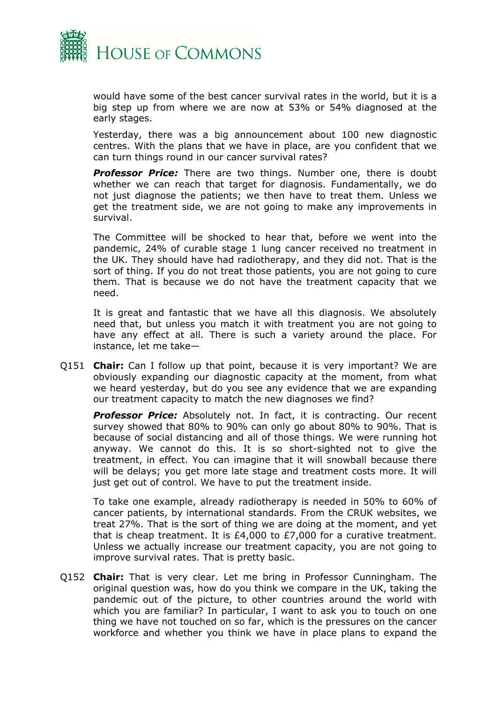

would have some of the best cancer survival rates in the world, but it is a big step up from where we are now at 53% or 54% diagnosed at the early stages.

Yesterday, there was a big announcement about 100 new diagnostic centres. With the plans that we have in place, are you confident that we can turn things round in our cancer survival rates?

**Professor Price:** There are two things. Number one, there is doubt whether we can reach that target for diagnosis. Fundamentally, we do not just diagnose the patients; we then have to treat them. Unless we get the treatment side, we are not going to make any improvements in survival.

The Committee will be shocked to hear that, before we went into the pandemic, 24% of curable stage 1 lung cancer received no treatment in the UK. They should have had radiotherapy, and they did not. That is the sort of thing. If you do not treat those patients, you are not going to cure them. That is because we do not have the treatment capacity that we need.

It is great and fantastic that we have all this diagnosis. We absolutely need that, but unless you match it with treatment you are not going to have any effect at all. There is such a variety around the place. For instance, let me take—

Q151 **Chair:** Can I follow up that point, because it is very important? We are obviously expanding our diagnostic capacity at the moment, from what we heard yesterday, but do you see any evidence that we are expanding our treatment capacity to match the new diagnoses we find?

*Professor Price:* Absolutely not. In fact, it is contracting. Our recent survey showed that 80% to 90% can only go about 80% to 90%. That is because of social distancing and all of those things. We were running hot anyway. We cannot do this. It is so short-sighted not to give the treatment, in effect. You can imagine that it will snowball because there will be delays; you get more late stage and treatment costs more. It will just get out of control. We have to put the treatment inside.

To take one example, already radiotherapy is needed in 50% to 60% of cancer patients, by international standards. From the CRUK websites, we treat 27%. That is the sort of thing we are doing at the moment, and yet that is cheap treatment. It is £4,000 to £7,000 for a curative treatment. Unless we actually increase our treatment capacity, you are not going to improve survival rates. That is pretty basic.

Q152 **Chair:** That is very clear. Let me bring in Professor Cunningham. The original question was, how do you think we compare in the UK, taking the pandemic out of the picture, to other countries around the world with which you are familiar? In particular, I want to ask you to touch on one thing we have not touched on so far, which is the pressures on the cancer workforce and whether you think we have in place plans to expand the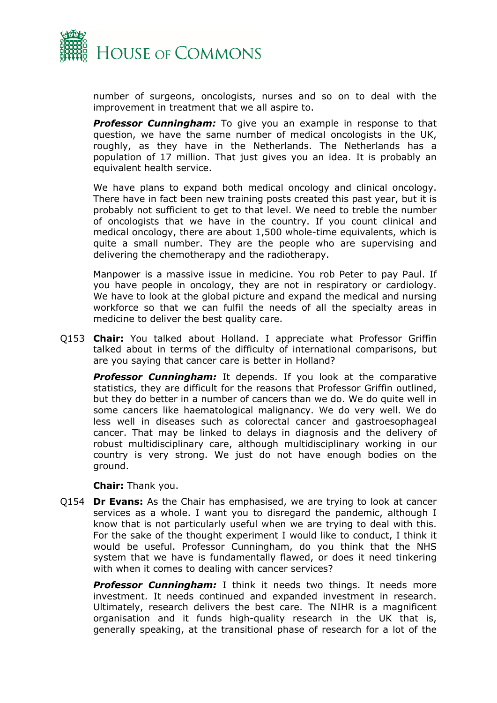

number of surgeons, oncologists, nurses and so on to deal with the improvement in treatment that we all aspire to.

**Professor Cunningham:** To give you an example in response to that question, we have the same number of medical oncologists in the UK, roughly, as they have in the Netherlands. The Netherlands has a population of 17 million. That just gives you an idea. It is probably an equivalent health service.

We have plans to expand both medical oncology and clinical oncology. There have in fact been new training posts created this past year, but it is probably not sufficient to get to that level. We need to treble the number of oncologists that we have in the country. If you count clinical and medical oncology, there are about 1,500 whole-time equivalents, which is quite a small number. They are the people who are supervising and delivering the chemotherapy and the radiotherapy.

Manpower is a massive issue in medicine. You rob Peter to pay Paul. If you have people in oncology, they are not in respiratory or cardiology. We have to look at the global picture and expand the medical and nursing workforce so that we can fulfil the needs of all the specialty areas in medicine to deliver the best quality care.

Q153 **Chair:** You talked about Holland. I appreciate what Professor Griffin talked about in terms of the difficulty of international comparisons, but are you saying that cancer care is better in Holland?

*Professor Cunningham:* It depends. If you look at the comparative statistics, they are difficult for the reasons that Professor Griffin outlined, but they do better in a number of cancers than we do. We do quite well in some cancers like haematological malignancy. We do very well. We do less well in diseases such as colorectal cancer and gastroesophageal cancer. That may be linked to delays in diagnosis and the delivery of robust multidisciplinary care, although multidisciplinary working in our country is very strong. We just do not have enough bodies on the ground.

**Chair:** Thank you.

Q154 **Dr Evans:** As the Chair has emphasised, we are trying to look at cancer services as a whole. I want you to disregard the pandemic, although I know that is not particularly useful when we are trying to deal with this. For the sake of the thought experiment I would like to conduct, I think it would be useful. Professor Cunningham, do you think that the NHS system that we have is fundamentally flawed, or does it need tinkering with when it comes to dealing with cancer services?

*Professor Cunningham:* I think it needs two things. It needs more investment. It needs continued and expanded investment in research. Ultimately, research delivers the best care. The NIHR is a magnificent organisation and it funds high-quality research in the UK that is, generally speaking, at the transitional phase of research for a lot of the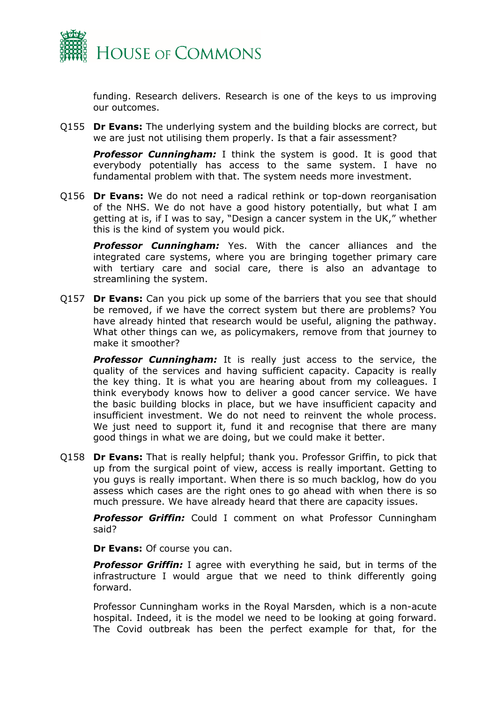

funding. Research delivers. Research is one of the keys to us improving our outcomes.

Q155 **Dr Evans:** The underlying system and the building blocks are correct, but we are just not utilising them properly. Is that a fair assessment?

**Professor Cunningham:** I think the system is good. It is good that everybody potentially has access to the same system. I have no fundamental problem with that. The system needs more investment.

Q156 **Dr Evans:** We do not need a radical rethink or top-down reorganisation of the NHS. We do not have a good history potentially, but what I am getting at is, if I was to say, "Design a cancer system in the UK," whether this is the kind of system you would pick.

*Professor Cunningham:* Yes. With the cancer alliances and the integrated care systems, where you are bringing together primary care with tertiary care and social care, there is also an advantage to streamlining the system.

Q157 **Dr Evans:** Can you pick up some of the barriers that you see that should be removed, if we have the correct system but there are problems? You have already hinted that research would be useful, aligning the pathway. What other things can we, as policymakers, remove from that journey to make it smoother?

**Professor Cunningham:** It is really just access to the service, the quality of the services and having sufficient capacity. Capacity is really the key thing. It is what you are hearing about from my colleagues. I think everybody knows how to deliver a good cancer service. We have the basic building blocks in place, but we have insufficient capacity and insufficient investment. We do not need to reinvent the whole process. We just need to support it, fund it and recognise that there are many good things in what we are doing, but we could make it better.

Q158 **Dr Evans:** That is really helpful; thank you. Professor Griffin, to pick that up from the surgical point of view, access is really important. Getting to you guys is really important. When there is so much backlog, how do you assess which cases are the right ones to go ahead with when there is so much pressure. We have already heard that there are capacity issues.

*Professor Griffin:* Could I comment on what Professor Cunningham said?

**Dr Evans:** Of course you can.

**Professor Griffin:** I agree with everything he said, but in terms of the infrastructure I would argue that we need to think differently going forward.

Professor Cunningham works in the Royal Marsden, which is a non-acute hospital. Indeed, it is the model we need to be looking at going forward. The Covid outbreak has been the perfect example for that, for the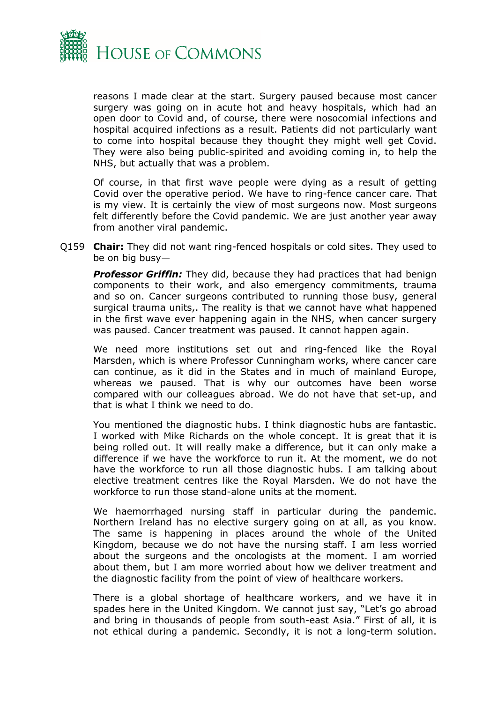

reasons I made clear at the start. Surgery paused because most cancer surgery was going on in acute hot and heavy hospitals, which had an open door to Covid and, of course, there were nosocomial infections and hospital acquired infections as a result. Patients did not particularly want to come into hospital because they thought they might well get Covid. They were also being public-spirited and avoiding coming in, to help the NHS, but actually that was a problem.

Of course, in that first wave people were dying as a result of getting Covid over the operative period. We have to ring-fence cancer care. That is my view. It is certainly the view of most surgeons now. Most surgeons felt differently before the Covid pandemic. We are just another year away from another viral pandemic.

Q159 **Chair:** They did not want ring-fenced hospitals or cold sites. They used to be on big busy—

*Professor Griffin:* They did, because they had practices that had benign components to their work, and also emergency commitments, trauma and so on. Cancer surgeons contributed to running those busy, general surgical trauma units,. The reality is that we cannot have what happened in the first wave ever happening again in the NHS, when cancer surgery was paused. Cancer treatment was paused. It cannot happen again.

We need more institutions set out and ring-fenced like the Royal Marsden, which is where Professor Cunningham works, where cancer care can continue, as it did in the States and in much of mainland Europe, whereas we paused. That is why our outcomes have been worse compared with our colleagues abroad. We do not have that set-up, and that is what I think we need to do.

You mentioned the diagnostic hubs. I think diagnostic hubs are fantastic. I worked with Mike Richards on the whole concept. It is great that it is being rolled out. It will really make a difference, but it can only make a difference if we have the workforce to run it. At the moment, we do not have the workforce to run all those diagnostic hubs. I am talking about elective treatment centres like the Royal Marsden. We do not have the workforce to run those stand-alone units at the moment.

We haemorrhaged nursing staff in particular during the pandemic. Northern Ireland has no elective surgery going on at all, as you know. The same is happening in places around the whole of the United Kingdom, because we do not have the nursing staff. I am less worried about the surgeons and the oncologists at the moment. I am worried about them, but I am more worried about how we deliver treatment and the diagnostic facility from the point of view of healthcare workers.

There is a global shortage of healthcare workers, and we have it in spades here in the United Kingdom. We cannot just say, "Let's go abroad and bring in thousands of people from south-east Asia." First of all, it is not ethical during a pandemic. Secondly, it is not a long-term solution.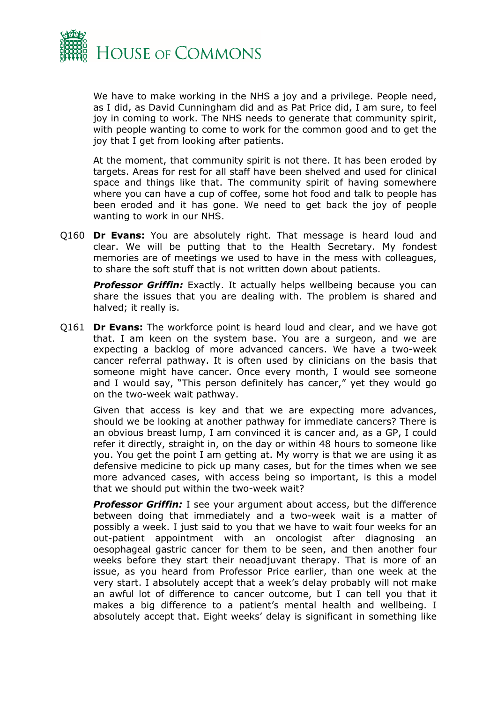

We have to make working in the NHS a joy and a privilege. People need, as I did, as David Cunningham did and as Pat Price did, I am sure, to feel joy in coming to work. The NHS needs to generate that community spirit, with people wanting to come to work for the common good and to get the joy that I get from looking after patients.

At the moment, that community spirit is not there. It has been eroded by targets. Areas for rest for all staff have been shelved and used for clinical space and things like that. The community spirit of having somewhere where you can have a cup of coffee, some hot food and talk to people has been eroded and it has gone. We need to get back the joy of people wanting to work in our NHS.

Q160 **Dr Evans:** You are absolutely right. That message is heard loud and clear. We will be putting that to the Health Secretary. My fondest memories are of meetings we used to have in the mess with colleagues, to share the soft stuff that is not written down about patients.

**Professor Griffin:** Exactly. It actually helps wellbeing because you can share the issues that you are dealing with. The problem is shared and halved; it really is.

Q161 **Dr Evans:** The workforce point is heard loud and clear, and we have got that. I am keen on the system base. You are a surgeon, and we are expecting a backlog of more advanced cancers. We have a two-week cancer referral pathway. It is often used by clinicians on the basis that someone might have cancer. Once every month, I would see someone and I would say, "This person definitely has cancer," yet they would go on the two-week wait pathway.

Given that access is key and that we are expecting more advances, should we be looking at another pathway for immediate cancers? There is an obvious breast lump, I am convinced it is cancer and, as a GP, I could refer it directly, straight in, on the day or within 48 hours to someone like you. You get the point I am getting at. My worry is that we are using it as defensive medicine to pick up many cases, but for the times when we see more advanced cases, with access being so important, is this a model that we should put within the two-week wait?

*Professor Griffin:* I see your argument about access, but the difference between doing that immediately and a two-week wait is a matter of possibly a week. I just said to you that we have to wait four weeks for an out-patient appointment with an oncologist after diagnosing an oesophageal gastric cancer for them to be seen, and then another four weeks before they start their neoadjuvant therapy. That is more of an issue, as you heard from Professor Price earlier, than one week at the very start. I absolutely accept that a week's delay probably will not make an awful lot of difference to cancer outcome, but I can tell you that it makes a big difference to a patient's mental health and wellbeing. I absolutely accept that. Eight weeks' delay is significant in something like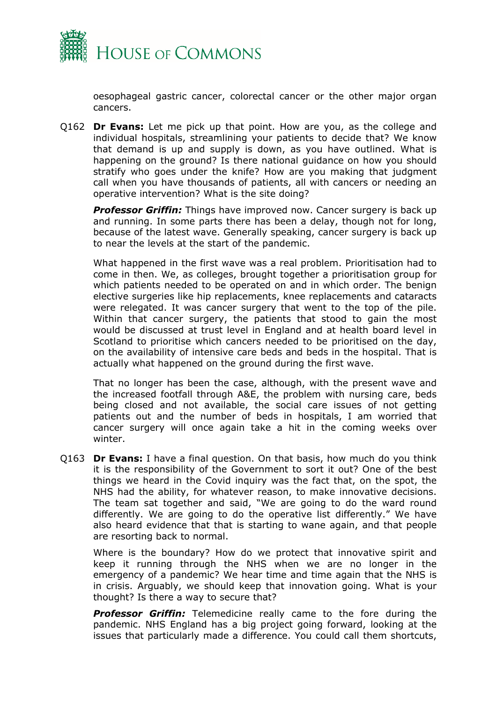

oesophageal gastric cancer, colorectal cancer or the other major organ cancers.

Q162 **Dr Evans:** Let me pick up that point. How are you, as the college and individual hospitals, streamlining your patients to decide that? We know that demand is up and supply is down, as you have outlined. What is happening on the ground? Is there national guidance on how you should stratify who goes under the knife? How are you making that judgment call when you have thousands of patients, all with cancers or needing an operative intervention? What is the site doing?

**Professor Griffin:** Things have improved now. Cancer surgery is back up and running. In some parts there has been a delay, though not for long, because of the latest wave. Generally speaking, cancer surgery is back up to near the levels at the start of the pandemic.

What happened in the first wave was a real problem. Prioritisation had to come in then. We, as colleges, brought together a prioritisation group for which patients needed to be operated on and in which order. The benign elective surgeries like hip replacements, knee replacements and cataracts were relegated. It was cancer surgery that went to the top of the pile. Within that cancer surgery, the patients that stood to gain the most would be discussed at trust level in England and at health board level in Scotland to prioritise which cancers needed to be prioritised on the day, on the availability of intensive care beds and beds in the hospital. That is actually what happened on the ground during the first wave.

That no longer has been the case, although, with the present wave and the increased footfall through A&E, the problem with nursing care, beds being closed and not available, the social care issues of not getting patients out and the number of beds in hospitals, I am worried that cancer surgery will once again take a hit in the coming weeks over winter.

Q163 **Dr Evans:** I have a final question. On that basis, how much do you think it is the responsibility of the Government to sort it out? One of the best things we heard in the Covid inquiry was the fact that, on the spot, the NHS had the ability, for whatever reason, to make innovative decisions. The team sat together and said, "We are going to do the ward round differently. We are going to do the operative list differently." We have also heard evidence that that is starting to wane again, and that people are resorting back to normal.

Where is the boundary? How do we protect that innovative spirit and keep it running through the NHS when we are no longer in the emergency of a pandemic? We hear time and time again that the NHS is in crisis. Arguably, we should keep that innovation going. What is your thought? Is there a way to secure that?

**Professor Griffin:** Telemedicine really came to the fore during the pandemic. NHS England has a big project going forward, looking at the issues that particularly made a difference. You could call them shortcuts,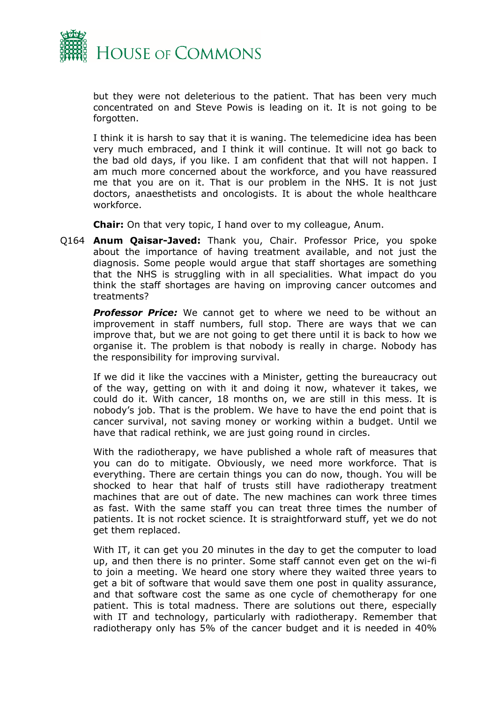

but they were not deleterious to the patient. That has been very much concentrated on and Steve Powis is leading on it. It is not going to be forgotten.

I think it is harsh to say that it is waning. The telemedicine idea has been very much embraced, and I think it will continue. It will not go back to the bad old days, if you like. I am confident that that will not happen. I am much more concerned about the workforce, and you have reassured me that you are on it. That is our problem in the NHS. It is not just doctors, anaesthetists and oncologists. It is about the whole healthcare workforce.

**Chair:** On that very topic, I hand over to my colleague, Anum.

Q164 **Anum Qaisar-Javed:** Thank you, Chair. Professor Price, you spoke about the importance of having treatment available, and not just the diagnosis. Some people would argue that staff shortages are something that the NHS is struggling with in all specialities. What impact do you think the staff shortages are having on improving cancer outcomes and treatments?

*Professor Price:* We cannot get to where we need to be without an improvement in staff numbers, full stop. There are ways that we can improve that, but we are not going to get there until it is back to how we organise it. The problem is that nobody is really in charge. Nobody has the responsibility for improving survival.

If we did it like the vaccines with a Minister, getting the bureaucracy out of the way, getting on with it and doing it now, whatever it takes, we could do it. With cancer, 18 months on, we are still in this mess. It is nobody's job. That is the problem. We have to have the end point that is cancer survival, not saving money or working within a budget. Until we have that radical rethink, we are just going round in circles.

With the radiotherapy, we have published a whole raft of measures that you can do to mitigate. Obviously, we need more workforce. That is everything. There are certain things you can do now, though. You will be shocked to hear that half of trusts still have radiotherapy treatment machines that are out of date. The new machines can work three times as fast. With the same staff you can treat three times the number of patients. It is not rocket science. It is straightforward stuff, yet we do not get them replaced.

With IT, it can get you 20 minutes in the day to get the computer to load up, and then there is no printer. Some staff cannot even get on the wi-fi to join a meeting. We heard one story where they waited three years to get a bit of software that would save them one post in quality assurance, and that software cost the same as one cycle of chemotherapy for one patient. This is total madness. There are solutions out there, especially with IT and technology, particularly with radiotherapy. Remember that radiotherapy only has 5% of the cancer budget and it is needed in 40%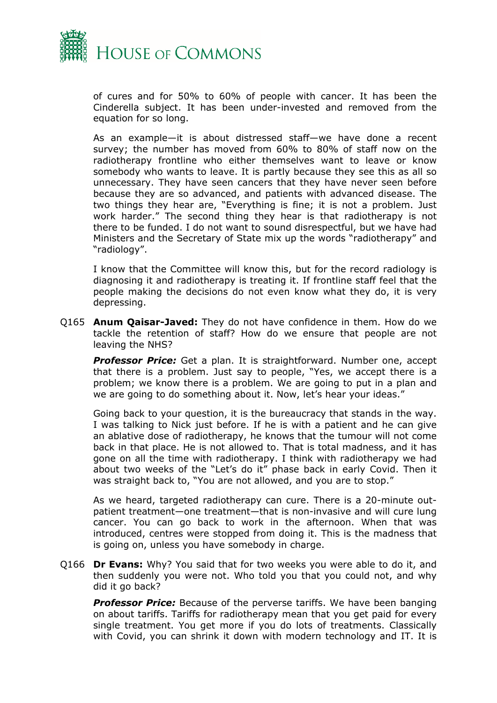

of cures and for 50% to 60% of people with cancer. It has been the Cinderella subject. It has been under-invested and removed from the equation for so long.

As an example—it is about distressed staff—we have done a recent survey; the number has moved from 60% to 80% of staff now on the radiotherapy frontline who either themselves want to leave or know somebody who wants to leave. It is partly because they see this as all so unnecessary. They have seen cancers that they have never seen before because they are so advanced, and patients with advanced disease. The two things they hear are, "Everything is fine; it is not a problem. Just work harder." The second thing they hear is that radiotherapy is not there to be funded. I do not want to sound disrespectful, but we have had Ministers and the Secretary of State mix up the words "radiotherapy" and "radiology".

I know that the Committee will know this, but for the record radiology is diagnosing it and radiotherapy is treating it. If frontline staff feel that the people making the decisions do not even know what they do, it is very depressing.

Q165 **Anum Qaisar-Javed:** They do not have confidence in them. How do we tackle the retention of staff? How do we ensure that people are not leaving the NHS?

*Professor Price:* Get a plan. It is straightforward. Number one, accept that there is a problem. Just say to people, "Yes, we accept there is a problem; we know there is a problem. We are going to put in a plan and we are going to do something about it. Now, let's hear your ideas."

Going back to your question, it is the bureaucracy that stands in the way. I was talking to Nick just before. If he is with a patient and he can give an ablative dose of radiotherapy, he knows that the tumour will not come back in that place. He is not allowed to. That is total madness, and it has gone on all the time with radiotherapy. I think with radiotherapy we had about two weeks of the "Let's do it" phase back in early Covid. Then it was straight back to, "You are not allowed, and you are to stop."

As we heard, targeted radiotherapy can cure. There is a 20-minute outpatient treatment—one treatment—that is non-invasive and will cure lung cancer. You can go back to work in the afternoon. When that was introduced, centres were stopped from doing it. This is the madness that is going on, unless you have somebody in charge.

Q166 **Dr Evans:** Why? You said that for two weeks you were able to do it, and then suddenly you were not. Who told you that you could not, and why did it go back?

*Professor Price:* Because of the perverse tariffs. We have been banging on about tariffs. Tariffs for radiotherapy mean that you get paid for every single treatment. You get more if you do lots of treatments. Classically with Covid, you can shrink it down with modern technology and IT. It is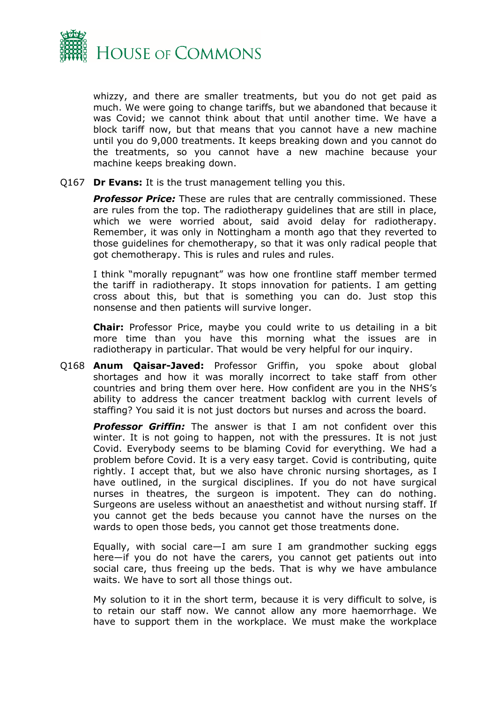

whizzy, and there are smaller treatments, but you do not get paid as much. We were going to change tariffs, but we abandoned that because it was Covid; we cannot think about that until another time. We have a block tariff now, but that means that you cannot have a new machine until you do 9,000 treatments. It keeps breaking down and you cannot do the treatments, so you cannot have a new machine because your machine keeps breaking down.

Q167 **Dr Evans:** It is the trust management telling you this.

*Professor Price:* These are rules that are centrally commissioned. These are rules from the top. The radiotherapy guidelines that are still in place, which we were worried about, said avoid delay for radiotherapy. Remember, it was only in Nottingham a month ago that they reverted to those guidelines for chemotherapy, so that it was only radical people that got chemotherapy. This is rules and rules and rules.

I think "morally repugnant" was how one frontline staff member termed the tariff in radiotherapy. It stops innovation for patients. I am getting cross about this, but that is something you can do. Just stop this nonsense and then patients will survive longer.

**Chair:** Professor Price, maybe you could write to us detailing in a bit more time than you have this morning what the issues are in radiotherapy in particular. That would be very helpful for our inquiry.

Q168 **Anum Qaisar-Javed:** Professor Griffin, you spoke about global shortages and how it was morally incorrect to take staff from other countries and bring them over here. How confident are you in the NHS's ability to address the cancer treatment backlog with current levels of staffing? You said it is not just doctors but nurses and across the board.

**Professor Griffin:** The answer is that I am not confident over this winter. It is not going to happen, not with the pressures. It is not just Covid. Everybody seems to be blaming Covid for everything. We had a problem before Covid. It is a very easy target. Covid is contributing, quite rightly. I accept that, but we also have chronic nursing shortages, as I have outlined, in the surgical disciplines. If you do not have surgical nurses in theatres, the surgeon is impotent. They can do nothing. Surgeons are useless without an anaesthetist and without nursing staff. If you cannot get the beds because you cannot have the nurses on the wards to open those beds, you cannot get those treatments done.

Equally, with social care—I am sure I am grandmother sucking eggs here—if you do not have the carers, you cannot get patients out into social care, thus freeing up the beds. That is why we have ambulance waits. We have to sort all those things out.

My solution to it in the short term, because it is very difficult to solve, is to retain our staff now. We cannot allow any more haemorrhage. We have to support them in the workplace. We must make the workplace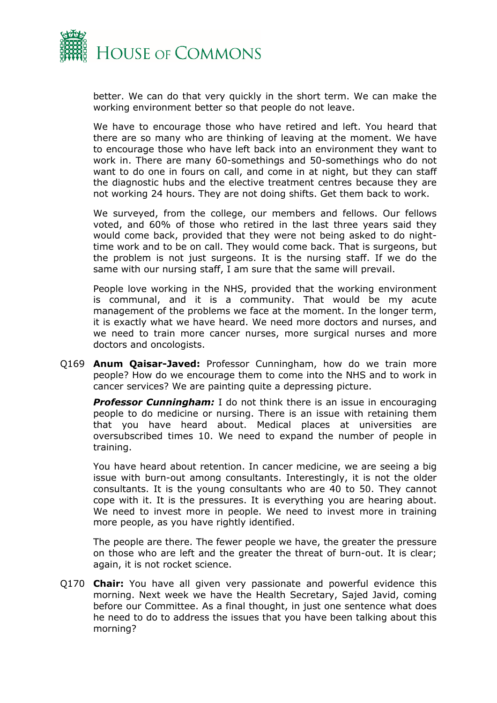

better. We can do that very quickly in the short term. We can make the working environment better so that people do not leave.

We have to encourage those who have retired and left. You heard that there are so many who are thinking of leaving at the moment. We have to encourage those who have left back into an environment they want to work in. There are many 60-somethings and 50-somethings who do not want to do one in fours on call, and come in at night, but they can staff the diagnostic hubs and the elective treatment centres because they are not working 24 hours. They are not doing shifts. Get them back to work.

We surveyed, from the college, our members and fellows. Our fellows voted, and 60% of those who retired in the last three years said they would come back, provided that they were not being asked to do nighttime work and to be on call. They would come back. That is surgeons, but the problem is not just surgeons. It is the nursing staff. If we do the same with our nursing staff, I am sure that the same will prevail.

People love working in the NHS, provided that the working environment is communal, and it is a community. That would be my acute management of the problems we face at the moment. In the longer term, it is exactly what we have heard. We need more doctors and nurses, and we need to train more cancer nurses, more surgical nurses and more doctors and oncologists.

Q169 **Anum Qaisar-Javed:** Professor Cunningham, how do we train more people? How do we encourage them to come into the NHS and to work in cancer services? We are painting quite a depressing picture.

**Professor Cunningham:** I do not think there is an issue in encouraging people to do medicine or nursing. There is an issue with retaining them that you have heard about. Medical places at universities are oversubscribed times 10. We need to expand the number of people in training.

You have heard about retention. In cancer medicine, we are seeing a big issue with burn-out among consultants. Interestingly, it is not the older consultants. It is the young consultants who are 40 to 50. They cannot cope with it. It is the pressures. It is everything you are hearing about. We need to invest more in people. We need to invest more in training more people, as you have rightly identified.

The people are there. The fewer people we have, the greater the pressure on those who are left and the greater the threat of burn-out. It is clear; again, it is not rocket science.

Q170 **Chair:** You have all given very passionate and powerful evidence this morning. Next week we have the Health Secretary, Sajed Javid, coming before our Committee. As a final thought, in just one sentence what does he need to do to address the issues that you have been talking about this morning?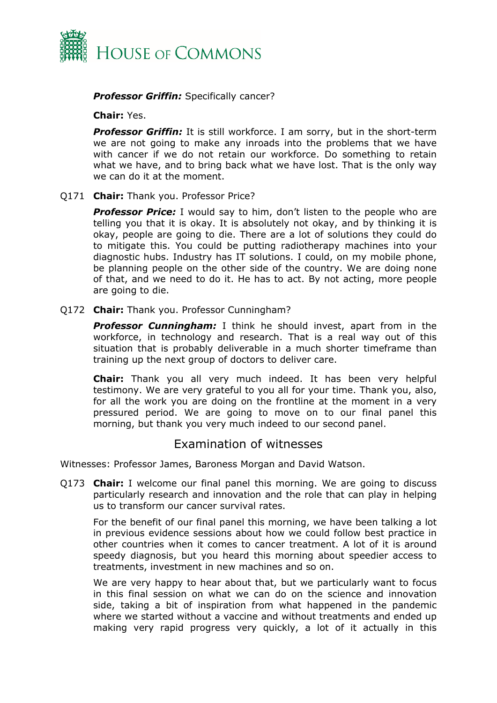

#### *Professor Griffin:* Specifically cancer?

#### **Chair:** Yes.

*Professor Griffin:* It is still workforce. I am sorry, but in the short-term we are not going to make any inroads into the problems that we have with cancer if we do not retain our workforce. Do something to retain what we have, and to bring back what we have lost. That is the only way we can do it at the moment.

#### Q171 **Chair:** Thank you. Professor Price?

**Professor Price:** I would say to him, don't listen to the people who are telling you that it is okay. It is absolutely not okay, and by thinking it is okay, people are going to die. There are a lot of solutions they could do to mitigate this. You could be putting radiotherapy machines into your diagnostic hubs. Industry has IT solutions. I could, on my mobile phone, be planning people on the other side of the country. We are doing none of that, and we need to do it. He has to act. By not acting, more people are going to die.

#### Q172 **Chair:** Thank you. Professor Cunningham?

**Professor Cunningham:** I think he should invest, apart from in the workforce, in technology and research. That is a real way out of this situation that is probably deliverable in a much shorter timeframe than training up the next group of doctors to deliver care.

**Chair:** Thank you all very much indeed. It has been very helpful testimony. We are very grateful to you all for your time. Thank you, also, for all the work you are doing on the frontline at the moment in a very pressured period. We are going to move on to our final panel this morning, but thank you very much indeed to our second panel.

## <span id="page-20-0"></span>Examination of witnesses

Witnesses: Professor James, Baroness Morgan and David Watson.

Q173 **Chair:** I welcome our final panel this morning. We are going to discuss particularly research and innovation and the role that can play in helping us to transform our cancer survival rates.

For the benefit of our final panel this morning, we have been talking a lot in previous evidence sessions about how we could follow best practice in other countries when it comes to cancer treatment. A lot of it is around speedy diagnosis, but you heard this morning about speedier access to treatments, investment in new machines and so on.

We are very happy to hear about that, but we particularly want to focus in this final session on what we can do on the science and innovation side, taking a bit of inspiration from what happened in the pandemic where we started without a vaccine and without treatments and ended up making very rapid progress very quickly, a lot of it actually in this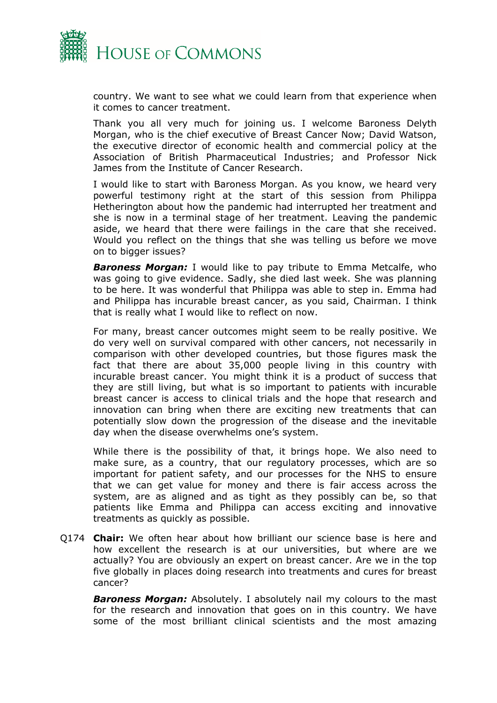

country. We want to see what we could learn from that experience when it comes to cancer treatment.

Thank you all very much for joining us. I welcome Baroness Delyth Morgan, who is the chief executive of Breast Cancer Now; David Watson, the executive director of economic health and commercial policy at the Association of British Pharmaceutical Industries; and Professor Nick James from the Institute of Cancer Research.

I would like to start with Baroness Morgan. As you know, we heard very powerful testimony right at the start of this session from Philippa Hetherington about how the pandemic had interrupted her treatment and she is now in a terminal stage of her treatment. Leaving the pandemic aside, we heard that there were failings in the care that she received. Would you reflect on the things that she was telling us before we move on to bigger issues?

*Baroness Morgan:* I would like to pay tribute to Emma Metcalfe, who was going to give evidence. Sadly, she died last week. She was planning to be here. It was wonderful that Philippa was able to step in. Emma had and Philippa has incurable breast cancer, as you said, Chairman. I think that is really what I would like to reflect on now.

For many, breast cancer outcomes might seem to be really positive. We do very well on survival compared with other cancers, not necessarily in comparison with other developed countries, but those figures mask the fact that there are about 35,000 people living in this country with incurable breast cancer. You might think it is a product of success that they are still living, but what is so important to patients with incurable breast cancer is access to clinical trials and the hope that research and innovation can bring when there are exciting new treatments that can potentially slow down the progression of the disease and the inevitable day when the disease overwhelms one's system.

While there is the possibility of that, it brings hope. We also need to make sure, as a country, that our regulatory processes, which are so important for patient safety, and our processes for the NHS to ensure that we can get value for money and there is fair access across the system, are as aligned and as tight as they possibly can be, so that patients like Emma and Philippa can access exciting and innovative treatments as quickly as possible.

Q174 **Chair:** We often hear about how brilliant our science base is here and how excellent the research is at our universities, but where are we actually? You are obviously an expert on breast cancer. Are we in the top five globally in places doing research into treatments and cures for breast cancer?

*Baroness Morgan:* Absolutely. I absolutely nail my colours to the mast for the research and innovation that goes on in this country. We have some of the most brilliant clinical scientists and the most amazing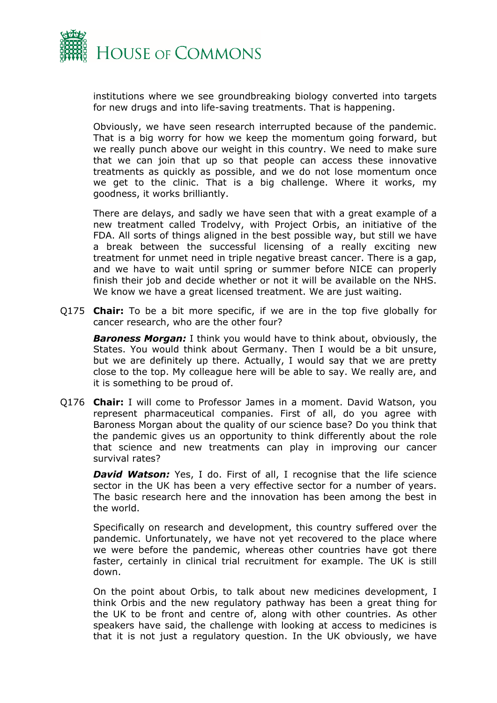

institutions where we see groundbreaking biology converted into targets for new drugs and into life-saving treatments. That is happening.

Obviously, we have seen research interrupted because of the pandemic. That is a big worry for how we keep the momentum going forward, but we really punch above our weight in this country. We need to make sure that we can join that up so that people can access these innovative treatments as quickly as possible, and we do not lose momentum once we get to the clinic. That is a big challenge. Where it works, my goodness, it works brilliantly.

There are delays, and sadly we have seen that with a great example of a new treatment called Trodelvy, with Project Orbis, an initiative of the FDA. All sorts of things aligned in the best possible way, but still we have a break between the successful licensing of a really exciting new treatment for unmet need in triple negative breast cancer. There is a gap, and we have to wait until spring or summer before NICE can properly finish their job and decide whether or not it will be available on the NHS. We know we have a great licensed treatment. We are just waiting.

Q175 **Chair:** To be a bit more specific, if we are in the top five globally for cancer research, who are the other four?

*Baroness Morgan:* I think you would have to think about, obviously, the States. You would think about Germany. Then I would be a bit unsure, but we are definitely up there. Actually, I would say that we are pretty close to the top. My colleague here will be able to say. We really are, and it is something to be proud of.

Q176 **Chair:** I will come to Professor James in a moment. David Watson, you represent pharmaceutical companies. First of all, do you agree with Baroness Morgan about the quality of our science base? Do you think that the pandemic gives us an opportunity to think differently about the role that science and new treatments can play in improving our cancer survival rates?

**David Watson:** Yes, I do. First of all, I recognise that the life science sector in the UK has been a very effective sector for a number of years. The basic research here and the innovation has been among the best in the world.

Specifically on research and development, this country suffered over the pandemic. Unfortunately, we have not yet recovered to the place where we were before the pandemic, whereas other countries have got there faster, certainly in clinical trial recruitment for example. The UK is still down.

On the point about Orbis, to talk about new medicines development, I think Orbis and the new regulatory pathway has been a great thing for the UK to be front and centre of, along with other countries. As other speakers have said, the challenge with looking at access to medicines is that it is not just a regulatory question. In the UK obviously, we have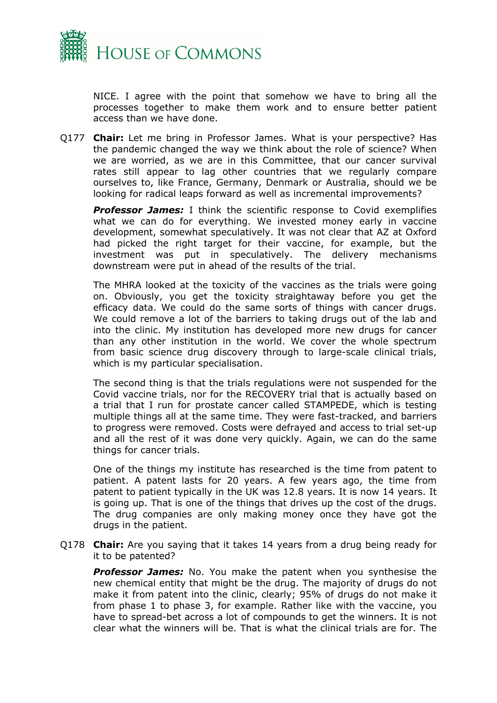

NICE. I agree with the point that somehow we have to bring all the processes together to make them work and to ensure better patient access than we have done.

Q177 **Chair:** Let me bring in Professor James. What is your perspective? Has the pandemic changed the way we think about the role of science? When we are worried, as we are in this Committee, that our cancer survival rates still appear to lag other countries that we regularly compare ourselves to, like France, Germany, Denmark or Australia, should we be looking for radical leaps forward as well as incremental improvements?

*Professor James:* I think the scientific response to Covid exemplifies what we can do for everything. We invested money early in vaccine development, somewhat speculatively. It was not clear that AZ at Oxford had picked the right target for their vaccine, for example, but the investment was put in speculatively. The delivery mechanisms downstream were put in ahead of the results of the trial.

The MHRA looked at the toxicity of the vaccines as the trials were going on. Obviously, you get the toxicity straightaway before you get the efficacy data. We could do the same sorts of things with cancer drugs. We could remove a lot of the barriers to taking drugs out of the lab and into the clinic. My institution has developed more new drugs for cancer than any other institution in the world. We cover the whole spectrum from basic science drug discovery through to large-scale clinical trials, which is my particular specialisation.

The second thing is that the trials regulations were not suspended for the Covid vaccine trials, nor for the RECOVERY trial that is actually based on a trial that I run for prostate cancer called STAMPEDE, which is testing multiple things all at the same time. They were fast-tracked, and barriers to progress were removed. Costs were defrayed and access to trial set-up and all the rest of it was done very quickly. Again, we can do the same things for cancer trials.

One of the things my institute has researched is the time from patent to patient. A patent lasts for 20 years. A few years ago, the time from patent to patient typically in the UK was 12.8 years. It is now 14 years. It is going up. That is one of the things that drives up the cost of the drugs. The drug companies are only making money once they have got the drugs in the patient.

Q178 **Chair:** Are you saying that it takes 14 years from a drug being ready for it to be patented?

*Professor James:* No. You make the patent when you synthesise the new chemical entity that might be the drug. The majority of drugs do not make it from patent into the clinic, clearly; 95% of drugs do not make it from phase 1 to phase 3, for example. Rather like with the vaccine, you have to spread-bet across a lot of compounds to get the winners. It is not clear what the winners will be. That is what the clinical trials are for. The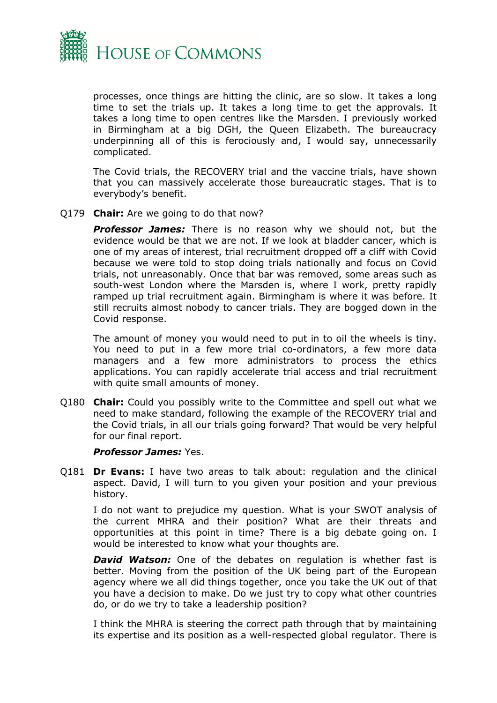

processes, once things are hitting the clinic, are so slow. It takes a long time to set the trials up. It takes a long time to get the approvals. It takes a long time to open centres like the Marsden. I previously worked in Birmingham at a big DGH, the Queen Elizabeth. The bureaucracy underpinning all of this is ferociously and, I would say, unnecessarily complicated.

The Covid trials, the RECOVERY trial and the vaccine trials, have shown that you can massively accelerate those bureaucratic stages. That is to everybody's benefit.

#### Q179 **Chair:** Are we going to do that now?

*Professor James:* There is no reason why we should not, but the evidence would be that we are not. If we look at bladder cancer, which is one of my areas of interest, trial recruitment dropped off a cliff with Covid because we were told to stop doing trials nationally and focus on Covid trials, not unreasonably. Once that bar was removed, some areas such as south-west London where the Marsden is, where I work, pretty rapidly ramped up trial recruitment again. Birmingham is where it was before. It still recruits almost nobody to cancer trials. They are bogged down in the Covid response.

The amount of money you would need to put in to oil the wheels is tiny. You need to put in a few more trial co-ordinators, a few more data managers and a few more administrators to process the ethics applications. You can rapidly accelerate trial access and trial recruitment with quite small amounts of money.

Q180 **Chair:** Could you possibly write to the Committee and spell out what we need to make standard, following the example of the RECOVERY trial and the Covid trials, in all our trials going forward? That would be very helpful for our final report.

#### *Professor James:* Yes.

Q181 **Dr Evans:** I have two areas to talk about: regulation and the clinical aspect. David, I will turn to you given your position and your previous history.

I do not want to prejudice my question. What is your SWOT analysis of the current MHRA and their position? What are their threats and opportunities at this point in time? There is a big debate going on. I would be interested to know what your thoughts are.

**David Watson:** One of the debates on regulation is whether fast is better. Moving from the position of the UK being part of the European agency where we all did things together, once you take the UK out of that you have a decision to make. Do we just try to copy what other countries do, or do we try to take a leadership position?

I think the MHRA is steering the correct path through that by maintaining its expertise and its position as a well-respected global regulator. There is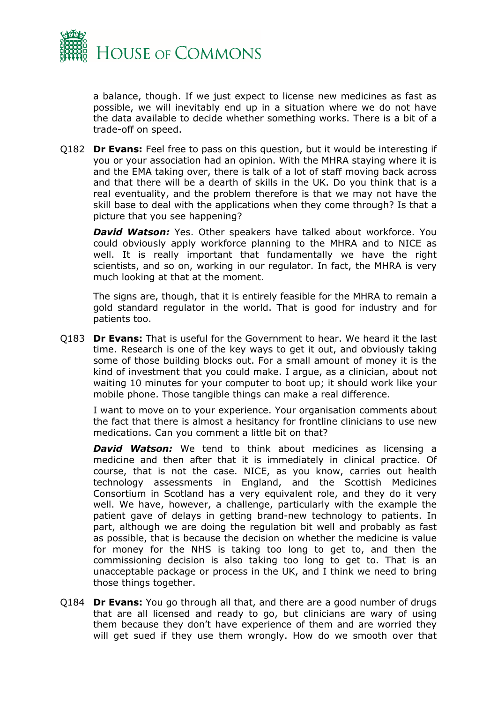

a balance, though. If we just expect to license new medicines as fast as possible, we will inevitably end up in a situation where we do not have the data available to decide whether something works. There is a bit of a trade-off on speed.

Q182 **Dr Evans:** Feel free to pass on this question, but it would be interesting if you or your association had an opinion. With the MHRA staying where it is and the EMA taking over, there is talk of a lot of staff moving back across and that there will be a dearth of skills in the UK. Do you think that is a real eventuality, and the problem therefore is that we may not have the skill base to deal with the applications when they come through? Is that a picture that you see happening?

*David Watson:* Yes. Other speakers have talked about workforce. You could obviously apply workforce planning to the MHRA and to NICE as well. It is really important that fundamentally we have the right scientists, and so on, working in our regulator. In fact, the MHRA is very much looking at that at the moment.

The signs are, though, that it is entirely feasible for the MHRA to remain a gold standard regulator in the world. That is good for industry and for patients too.

Q183 **Dr Evans:** That is useful for the Government to hear. We heard it the last time. Research is one of the key ways to get it out, and obviously taking some of those building blocks out. For a small amount of money it is the kind of investment that you could make. I argue, as a clinician, about not waiting 10 minutes for your computer to boot up; it should work like your mobile phone. Those tangible things can make a real difference.

I want to move on to your experience. Your organisation comments about the fact that there is almost a hesitancy for frontline clinicians to use new medications. Can you comment a little bit on that?

*David Watson:* We tend to think about medicines as licensing a medicine and then after that it is immediately in clinical practice. Of course, that is not the case. NICE, as you know, carries out health technology assessments in England, and the Scottish Medicines Consortium in Scotland has a very equivalent role, and they do it very well. We have, however, a challenge, particularly with the example the patient gave of delays in getting brand-new technology to patients. In part, although we are doing the regulation bit well and probably as fast as possible, that is because the decision on whether the medicine is value for money for the NHS is taking too long to get to, and then the commissioning decision is also taking too long to get to. That is an unacceptable package or process in the UK, and I think we need to bring those things together.

Q184 **Dr Evans:** You go through all that, and there are a good number of drugs that are all licensed and ready to go, but clinicians are wary of using them because they don't have experience of them and are worried they will get sued if they use them wrongly. How do we smooth over that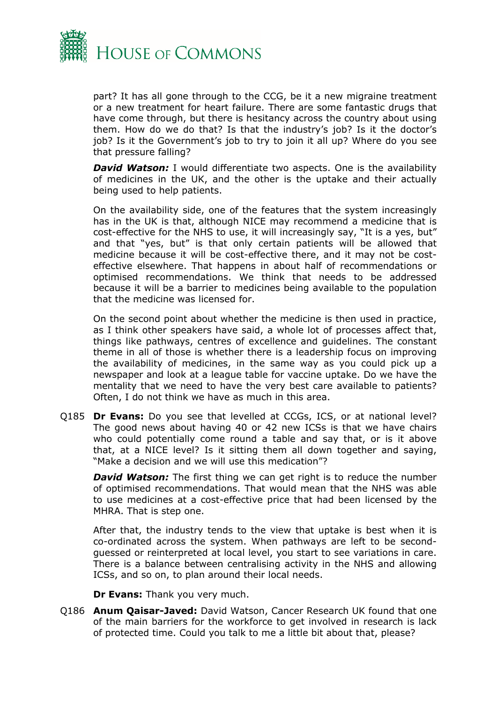

part? It has all gone through to the CCG, be it a new migraine treatment or a new treatment for heart failure. There are some fantastic drugs that have come through, but there is hesitancy across the country about using them. How do we do that? Is that the industry's job? Is it the doctor's job? Is it the Government's job to try to join it all up? Where do you see that pressure falling?

**David Watson:** I would differentiate two aspects. One is the availability of medicines in the UK, and the other is the uptake and their actually being used to help patients.

On the availability side, one of the features that the system increasingly has in the UK is that, although NICE may recommend a medicine that is cost-effective for the NHS to use, it will increasingly say, "It is a yes, but" and that "yes, but" is that only certain patients will be allowed that medicine because it will be cost-effective there, and it may not be costeffective elsewhere. That happens in about half of recommendations or optimised recommendations. We think that needs to be addressed because it will be a barrier to medicines being available to the population that the medicine was licensed for.

On the second point about whether the medicine is then used in practice, as I think other speakers have said, a whole lot of processes affect that, things like pathways, centres of excellence and guidelines. The constant theme in all of those is whether there is a leadership focus on improving the availability of medicines, in the same way as you could pick up a newspaper and look at a league table for vaccine uptake. Do we have the mentality that we need to have the very best care available to patients? Often, I do not think we have as much in this area.

Q185 **Dr Evans:** Do you see that levelled at CCGs, ICS, or at national level? The good news about having 40 or 42 new ICSs is that we have chairs who could potentially come round a table and say that, or is it above that, at a NICE level? Is it sitting them all down together and saying, "Make a decision and we will use this medication"?

*David Watson:* The first thing we can get right is to reduce the number of optimised recommendations. That would mean that the NHS was able to use medicines at a cost-effective price that had been licensed by the MHRA. That is step one.

After that, the industry tends to the view that uptake is best when it is co-ordinated across the system. When pathways are left to be secondguessed or reinterpreted at local level, you start to see variations in care. There is a balance between centralising activity in the NHS and allowing ICSs, and so on, to plan around their local needs.

**Dr Evans:** Thank you very much.

Q186 **Anum Qaisar-Javed:** David Watson, Cancer Research UK found that one of the main barriers for the workforce to get involved in research is lack of protected time. Could you talk to me a little bit about that, please?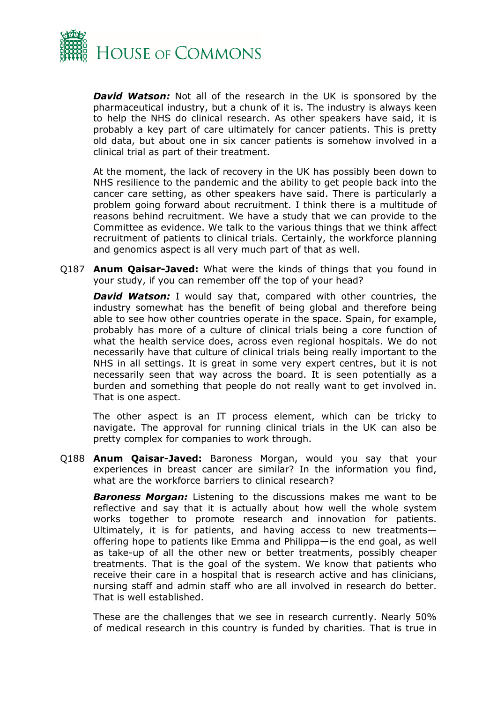

*David Watson:* Not all of the research in the UK is sponsored by the pharmaceutical industry, but a chunk of it is. The industry is always keen to help the NHS do clinical research. As other speakers have said, it is probably a key part of care ultimately for cancer patients. This is pretty old data, but about one in six cancer patients is somehow involved in a clinical trial as part of their treatment.

At the moment, the lack of recovery in the UK has possibly been down to NHS resilience to the pandemic and the ability to get people back into the cancer care setting, as other speakers have said. There is particularly a problem going forward about recruitment. I think there is a multitude of reasons behind recruitment. We have a study that we can provide to the Committee as evidence. We talk to the various things that we think affect recruitment of patients to clinical trials. Certainly, the workforce planning and genomics aspect is all very much part of that as well.

Q187 **Anum Qaisar-Javed:** What were the kinds of things that you found in your study, if you can remember off the top of your head?

*David Watson:* I would say that, compared with other countries, the industry somewhat has the benefit of being global and therefore being able to see how other countries operate in the space. Spain, for example, probably has more of a culture of clinical trials being a core function of what the health service does, across even regional hospitals. We do not necessarily have that culture of clinical trials being really important to the NHS in all settings. It is great in some very expert centres, but it is not necessarily seen that way across the board. It is seen potentially as a burden and something that people do not really want to get involved in. That is one aspect.

The other aspect is an IT process element, which can be tricky to navigate. The approval for running clinical trials in the UK can also be pretty complex for companies to work through.

Q188 **Anum Qaisar-Javed:** Baroness Morgan, would you say that your experiences in breast cancer are similar? In the information you find, what are the workforce barriers to clinical research?

*Baroness Morgan:* Listening to the discussions makes me want to be reflective and say that it is actually about how well the whole system works together to promote research and innovation for patients. Ultimately, it is for patients, and having access to new treatments offering hope to patients like Emma and Philippa—is the end goal, as well as take-up of all the other new or better treatments, possibly cheaper treatments. That is the goal of the system. We know that patients who receive their care in a hospital that is research active and has clinicians, nursing staff and admin staff who are all involved in research do better. That is well established.

These are the challenges that we see in research currently. Nearly 50% of medical research in this country is funded by charities. That is true in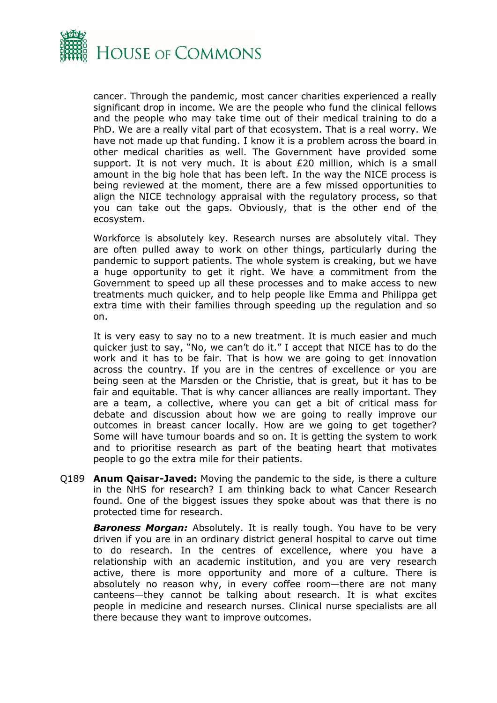

cancer. Through the pandemic, most cancer charities experienced a really significant drop in income. We are the people who fund the clinical fellows and the people who may take time out of their medical training to do a PhD. We are a really vital part of that ecosystem. That is a real worry. We have not made up that funding. I know it is a problem across the board in other medical charities as well. The Government have provided some support. It is not very much. It is about £20 million, which is a small amount in the big hole that has been left. In the way the NICE process is being reviewed at the moment, there are a few missed opportunities to align the NICE technology appraisal with the regulatory process, so that you can take out the gaps. Obviously, that is the other end of the ecosystem.

Workforce is absolutely key. Research nurses are absolutely vital. They are often pulled away to work on other things, particularly during the pandemic to support patients. The whole system is creaking, but we have a huge opportunity to get it right. We have a commitment from the Government to speed up all these processes and to make access to new treatments much quicker, and to help people like Emma and Philippa get extra time with their families through speeding up the regulation and so on.

It is very easy to say no to a new treatment. It is much easier and much quicker just to say, "No, we can't do it." I accept that NICE has to do the work and it has to be fair. That is how we are going to get innovation across the country. If you are in the centres of excellence or you are being seen at the Marsden or the Christie, that is great, but it has to be fair and equitable. That is why cancer alliances are really important. They are a team, a collective, where you can get a bit of critical mass for debate and discussion about how we are going to really improve our outcomes in breast cancer locally. How are we going to get together? Some will have tumour boards and so on. It is getting the system to work and to prioritise research as part of the beating heart that motivates people to go the extra mile for their patients.

Q189 **Anum Qaisar-Javed:** Moving the pandemic to the side, is there a culture in the NHS for research? I am thinking back to what Cancer Research found. One of the biggest issues they spoke about was that there is no protected time for research.

*Baroness Morgan:* Absolutely. It is really tough. You have to be very driven if you are in an ordinary district general hospital to carve out time to do research. In the centres of excellence, where you have a relationship with an academic institution, and you are very research active, there is more opportunity and more of a culture. There is absolutely no reason why, in every coffee room—there are not many canteens—they cannot be talking about research. It is what excites people in medicine and research nurses. Clinical nurse specialists are all there because they want to improve outcomes.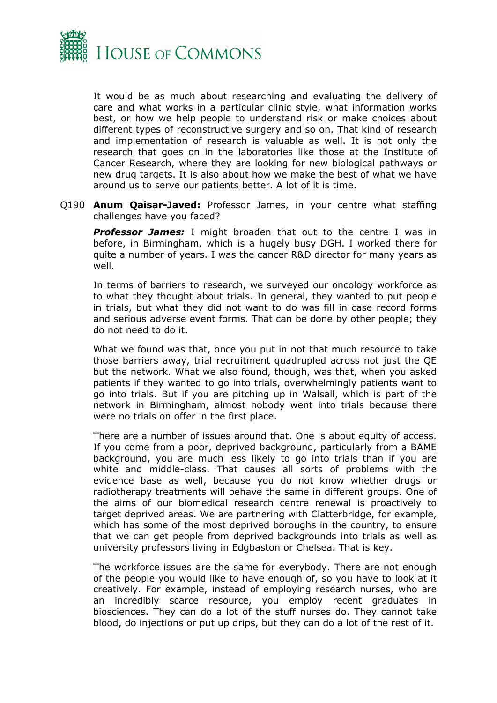

It would be as much about researching and evaluating the delivery of care and what works in a particular clinic style, what information works best, or how we help people to understand risk or make choices about different types of reconstructive surgery and so on. That kind of research and implementation of research is valuable as well. It is not only the research that goes on in the laboratories like those at the Institute of Cancer Research, where they are looking for new biological pathways or new drug targets. It is also about how we make the best of what we have around us to serve our patients better. A lot of it is time.

Q190 **Anum Qaisar-Javed:** Professor James, in your centre what staffing challenges have you faced?

**Professor James:** I might broaden that out to the centre I was in before, in Birmingham, which is a hugely busy DGH. I worked there for quite a number of years. I was the cancer R&D director for many years as well.

In terms of barriers to research, we surveyed our oncology workforce as to what they thought about trials. In general, they wanted to put people in trials, but what they did not want to do was fill in case record forms and serious adverse event forms. That can be done by other people; they do not need to do it.

What we found was that, once you put in not that much resource to take those barriers away, trial recruitment quadrupled across not just the QE but the network. What we also found, though, was that, when you asked patients if they wanted to go into trials, overwhelmingly patients want to go into trials. But if you are pitching up in Walsall, which is part of the network in Birmingham, almost nobody went into trials because there were no trials on offer in the first place.

There are a number of issues around that. One is about equity of access. If you come from a poor, deprived background, particularly from a BAME background, you are much less likely to go into trials than if you are white and middle-class. That causes all sorts of problems with the evidence base as well, because you do not know whether drugs or radiotherapy treatments will behave the same in different groups. One of the aims of our biomedical research centre renewal is proactively to target deprived areas. We are partnering with Clatterbridge, for example, which has some of the most deprived boroughs in the country, to ensure that we can get people from deprived backgrounds into trials as well as university professors living in Edgbaston or Chelsea. That is key.

The workforce issues are the same for everybody. There are not enough of the people you would like to have enough of, so you have to look at it creatively. For example, instead of employing research nurses, who are an incredibly scarce resource, you employ recent graduates in biosciences. They can do a lot of the stuff nurses do. They cannot take blood, do injections or put up drips, but they can do a lot of the rest of it.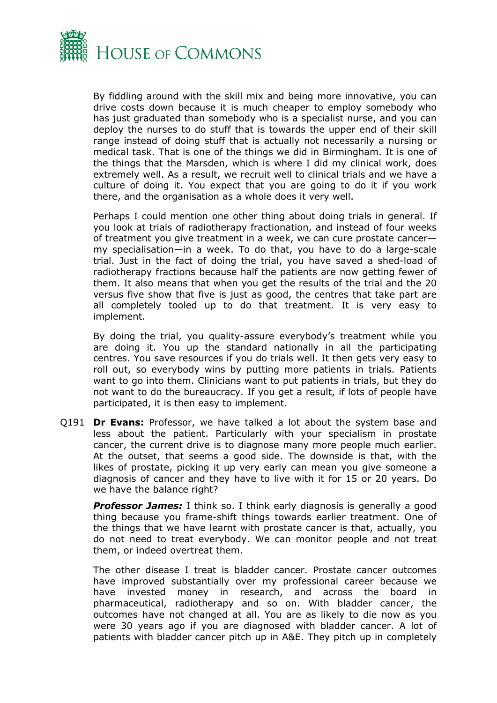

By fiddling around with the skill mix and being more innovative, you can drive costs down because it is much cheaper to employ somebody who has just graduated than somebody who is a specialist nurse, and you can deploy the nurses to do stuff that is towards the upper end of their skill range instead of doing stuff that is actually not necessarily a nursing or medical task. That is one of the things we did in Birmingham. It is one of the things that the Marsden, which is where I did my clinical work, does extremely well. As a result, we recruit well to clinical trials and we have a culture of doing it. You expect that you are going to do it if you work there, and the organisation as a whole does it very well.

Perhaps I could mention one other thing about doing trials in general. If you look at trials of radiotherapy fractionation, and instead of four weeks of treatment you give treatment in a week, we can cure prostate cancer my specialisation—in a week. To do that, you have to do a large-scale trial. Just in the fact of doing the trial, you have saved a shed-load of radiotherapy fractions because half the patients are now getting fewer of them. It also means that when you get the results of the trial and the 20 versus five show that five is just as good, the centres that take part are all completely tooled up to do that treatment. It is very easy to implement.

By doing the trial, you quality-assure everybody's treatment while you are doing it. You up the standard nationally in all the participating centres. You save resources if you do trials well. It then gets very easy to roll out, so everybody wins by putting more patients in trials. Patients want to go into them. Clinicians want to put patients in trials, but they do not want to do the bureaucracy. If you get a result, if lots of people have participated, it is then easy to implement.

Q191 **Dr Evans:** Professor, we have talked a lot about the system base and less about the patient. Particularly with your specialism in prostate cancer, the current drive is to diagnose many more people much earlier. At the outset, that seems a good side. The downside is that, with the likes of prostate, picking it up very early can mean you give someone a diagnosis of cancer and they have to live with it for 15 or 20 years. Do we have the balance right?

*Professor James:* I think so. I think early diagnosis is generally a good thing because you frame-shift things towards earlier treatment. One of the things that we have learnt with prostate cancer is that, actually, you do not need to treat everybody. We can monitor people and not treat them, or indeed overtreat them.

The other disease I treat is bladder cancer. Prostate cancer outcomes have improved substantially over my professional career because we have invested money in research, and across the board in pharmaceutical, radiotherapy and so on. With bladder cancer, the outcomes have not changed at all. You are as likely to die now as you were 30 years ago if you are diagnosed with bladder cancer. A lot of patients with bladder cancer pitch up in A&E. They pitch up in completely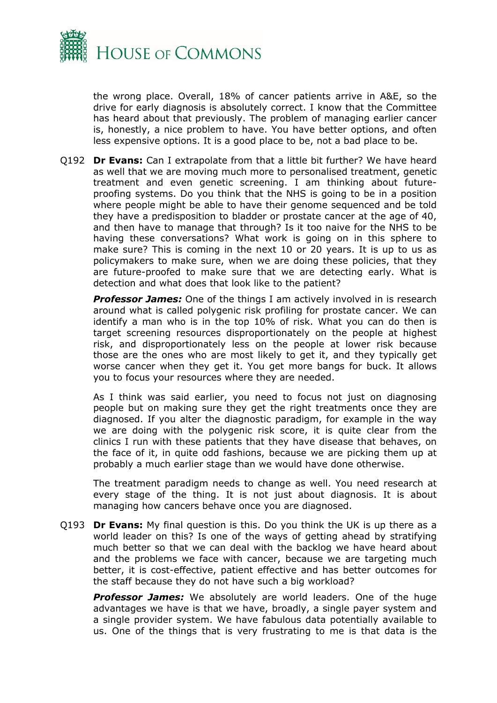

the wrong place. Overall, 18% of cancer patients arrive in A&E, so the drive for early diagnosis is absolutely correct. I know that the Committee has heard about that previously. The problem of managing earlier cancer is, honestly, a nice problem to have. You have better options, and often less expensive options. It is a good place to be, not a bad place to be.

Q192 **Dr Evans:** Can I extrapolate from that a little bit further? We have heard as well that we are moving much more to personalised treatment, genetic treatment and even genetic screening. I am thinking about futureproofing systems. Do you think that the NHS is going to be in a position where people might be able to have their genome sequenced and be told they have a predisposition to bladder or prostate cancer at the age of 40, and then have to manage that through? Is it too naive for the NHS to be having these conversations? What work is going on in this sphere to make sure? This is coming in the next 10 or 20 years. It is up to us as policymakers to make sure, when we are doing these policies, that they are future-proofed to make sure that we are detecting early. What is detection and what does that look like to the patient?

*Professor James:* One of the things I am actively involved in is research around what is called polygenic risk profiling for prostate cancer. We can identify a man who is in the top 10% of risk. What you can do then is target screening resources disproportionately on the people at highest risk, and disproportionately less on the people at lower risk because those are the ones who are most likely to get it, and they typically get worse cancer when they get it. You get more bangs for buck. It allows you to focus your resources where they are needed.

As I think was said earlier, you need to focus not just on diagnosing people but on making sure they get the right treatments once they are diagnosed. If you alter the diagnostic paradigm, for example in the way we are doing with the polygenic risk score, it is quite clear from the clinics I run with these patients that they have disease that behaves, on the face of it, in quite odd fashions, because we are picking them up at probably a much earlier stage than we would have done otherwise.

The treatment paradigm needs to change as well. You need research at every stage of the thing. It is not just about diagnosis. It is about managing how cancers behave once you are diagnosed.

Q193 **Dr Evans:** My final question is this. Do you think the UK is up there as a world leader on this? Is one of the ways of getting ahead by stratifying much better so that we can deal with the backlog we have heard about and the problems we face with cancer, because we are targeting much better, it is cost-effective, patient effective and has better outcomes for the staff because they do not have such a big workload?

**Professor James:** We absolutely are world leaders. One of the huge advantages we have is that we have, broadly, a single payer system and a single provider system. We have fabulous data potentially available to us. One of the things that is very frustrating to me is that data is the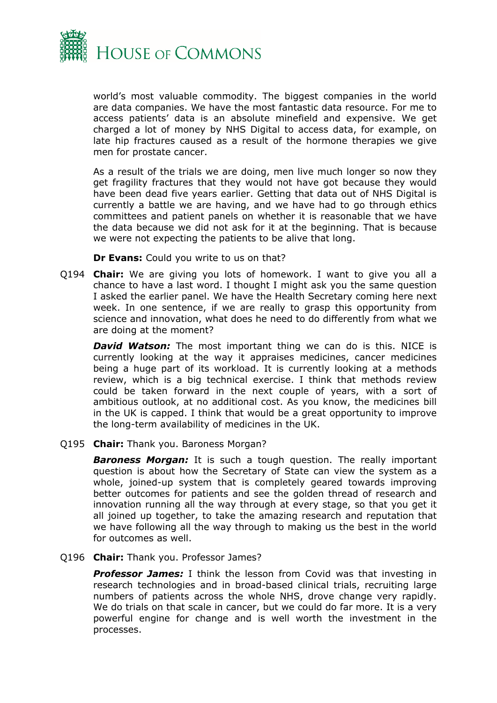

world's most valuable commodity. The biggest companies in the world are data companies. We have the most fantastic data resource. For me to access patients' data is an absolute minefield and expensive. We get charged a lot of money by NHS Digital to access data, for example, on late hip fractures caused as a result of the hormone therapies we give men for prostate cancer.

As a result of the trials we are doing, men live much longer so now they get fragility fractures that they would not have got because they would have been dead five years earlier. Getting that data out of NHS Digital is currently a battle we are having, and we have had to go through ethics committees and patient panels on whether it is reasonable that we have the data because we did not ask for it at the beginning. That is because we were not expecting the patients to be alive that long.

**Dr Evans:** Could you write to us on that?

Q194 **Chair:** We are giving you lots of homework. I want to give you all a chance to have a last word. I thought I might ask you the same question I asked the earlier panel. We have the Health Secretary coming here next week. In one sentence, if we are really to grasp this opportunity from science and innovation, what does he need to do differently from what we are doing at the moment?

*David Watson:* The most important thing we can do is this. NICE is currently looking at the way it appraises medicines, cancer medicines being a huge part of its workload. It is currently looking at a methods review, which is a big technical exercise. I think that methods review could be taken forward in the next couple of years, with a sort of ambitious outlook, at no additional cost. As you know, the medicines bill in the UK is capped. I think that would be a great opportunity to improve the long-term availability of medicines in the UK.

Q195 **Chair:** Thank you. Baroness Morgan?

*Baroness Morgan:* It is such a tough question. The really important question is about how the Secretary of State can view the system as a whole, joined-up system that is completely geared towards improving better outcomes for patients and see the golden thread of research and innovation running all the way through at every stage, so that you get it all joined up together, to take the amazing research and reputation that we have following all the way through to making us the best in the world for outcomes as well.

#### Q196 **Chair:** Thank you. Professor James?

*Professor James:* I think the lesson from Covid was that investing in research technologies and in broad-based clinical trials, recruiting large numbers of patients across the whole NHS, drove change very rapidly. We do trials on that scale in cancer, but we could do far more. It is a very powerful engine for change and is well worth the investment in the processes.